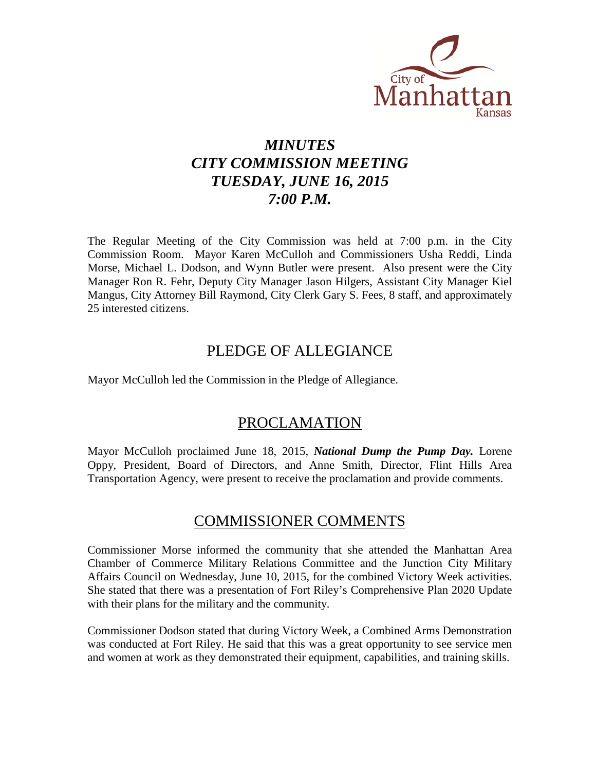

# *MINUTES CITY COMMISSION MEETING TUESDAY, JUNE 16, 2015 7:00 P.M.*

The Regular Meeting of the City Commission was held at 7:00 p.m. in the City Commission Room. Mayor Karen McCulloh and Commissioners Usha Reddi, Linda Morse, Michael L. Dodson, and Wynn Butler were present. Also present were the City Manager Ron R. Fehr, Deputy City Manager Jason Hilgers, Assistant City Manager Kiel Mangus, City Attorney Bill Raymond, City Clerk Gary S. Fees, 8 staff, and approximately 25 interested citizens.

# PLEDGE OF ALLEGIANCE

Mayor McCulloh led the Commission in the Pledge of Allegiance.

# PROCLAMATION

Mayor McCulloh proclaimed June 18, 2015, *National Dump the Pump Day.* Lorene Oppy, President, Board of Directors, and Anne Smith, Director, Flint Hills Area Transportation Agency, were present to receive the proclamation and provide comments.

# COMMISSIONER COMMENTS

Commissioner Morse informed the community that she attended the Manhattan Area Chamber of Commerce Military Relations Committee and the Junction City Military Affairs Council on Wednesday, June 10, 2015, for the combined Victory Week activities. She stated that there was a presentation of Fort Riley's Comprehensive Plan 2020 Update with their plans for the military and the community.

Commissioner Dodson stated that during Victory Week, a Combined Arms Demonstration was conducted at Fort Riley. He said that this was a great opportunity to see service men and women at work as they demonstrated their equipment, capabilities, and training skills.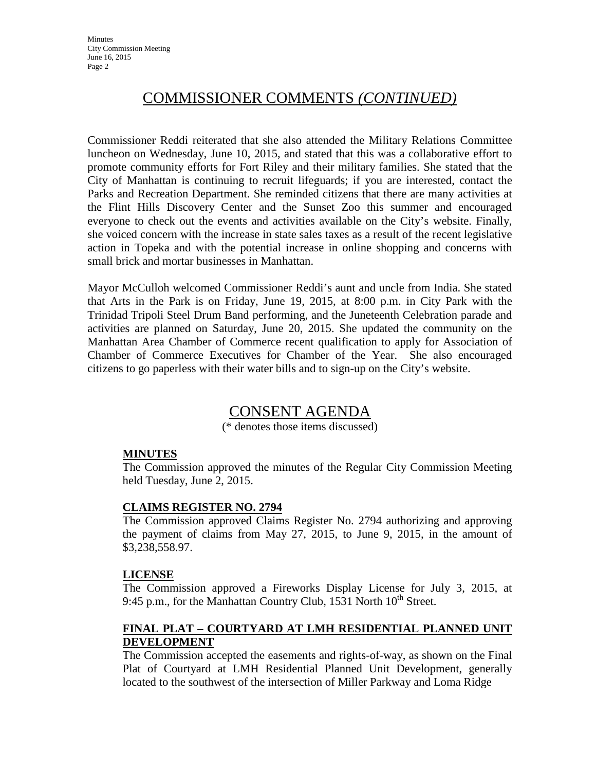# COMMISSIONER COMMENTS *(CONTINUED)*

Commissioner Reddi reiterated that she also attended the Military Relations Committee luncheon on Wednesday, June 10, 2015, and stated that this was a collaborative effort to promote community efforts for Fort Riley and their military families. She stated that the City of Manhattan is continuing to recruit lifeguards; if you are interested, contact the Parks and Recreation Department. She reminded citizens that there are many activities at the Flint Hills Discovery Center and the Sunset Zoo this summer and encouraged everyone to check out the events and activities available on the City's website. Finally, she voiced concern with the increase in state sales taxes as a result of the recent legislative action in Topeka and with the potential increase in online shopping and concerns with small brick and mortar businesses in Manhattan.

Mayor McCulloh welcomed Commissioner Reddi's aunt and uncle from India. She stated that Arts in the Park is on Friday, June 19, 2015, at 8:00 p.m. in City Park with the Trinidad Tripoli Steel Drum Band performing, and the Juneteenth Celebration parade and activities are planned on Saturday, June 20, 2015. She updated the community on the Manhattan Area Chamber of Commerce recent qualification to apply for Association of Chamber of Commerce Executives for Chamber of the Year. She also encouraged citizens to go paperless with their water bills and to sign-up on the City's website.

# CONSENT AGENDA

(\* denotes those items discussed)

### **MINUTES**

The Commission approved the minutes of the Regular City Commission Meeting held Tuesday, June 2, 2015.

### **CLAIMS REGISTER NO. 2794**

The Commission approved Claims Register No. 2794 authorizing and approving the payment of claims from May 27, 2015, to June 9, 2015, in the amount of \$3,238,558.97.

#### **LICENSE**

The Commission approved a Fireworks Display License for July 3, 2015, at 9:45 p.m., for the Manhattan Country Club, 1531 North  $10^{th}$  Street.

### **FINAL PLAT – COURTYARD AT LMH RESIDENTIAL PLANNED UNIT DEVELOPMENT**

The Commission accepted the easements and rights-of-way, as shown on the Final Plat of Courtyard at LMH Residential Planned Unit Development, generally located to the southwest of the intersection of Miller Parkway and Loma Ridge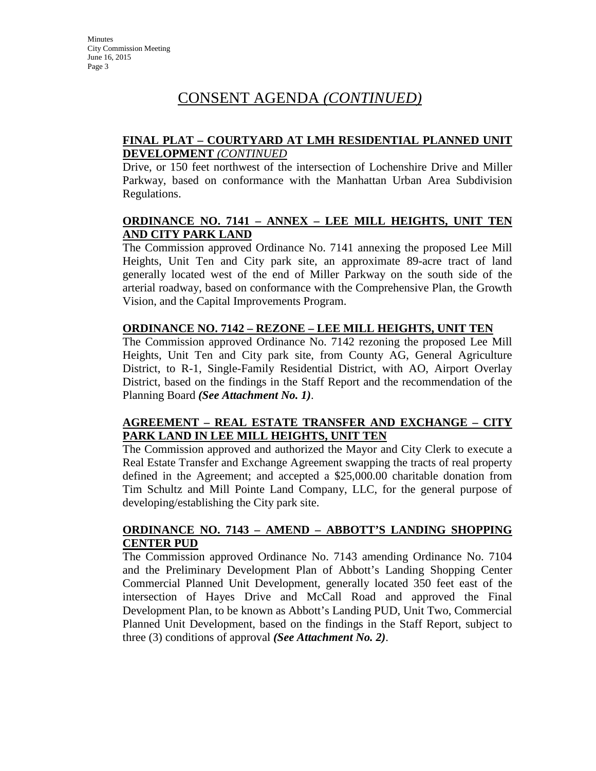### **FINAL PLAT – COURTYARD AT LMH RESIDENTIAL PLANNED UNIT DEVELOPMENT** *(CONTINUED*

Drive, or 150 feet northwest of the intersection of Lochenshire Drive and Miller Parkway, based on conformance with the Manhattan Urban Area Subdivision Regulations.

#### **ORDINANCE NO. 7141 – ANNEX – LEE MILL HEIGHTS, UNIT TEN AND CITY PARK LAND**

The Commission approved Ordinance No. 7141 annexing the proposed Lee Mill Heights, Unit Ten and City park site, an approximate 89-acre tract of land generally located west of the end of Miller Parkway on the south side of the arterial roadway, based on conformance with the Comprehensive Plan, the Growth Vision, and the Capital Improvements Program.

#### **ORDINANCE NO. 7142 – REZONE – LEE MILL HEIGHTS, UNIT TEN**

The Commission approved Ordinance No. 7142 rezoning the proposed Lee Mill Heights, Unit Ten and City park site, from County AG, General Agriculture District, to R-1, Single-Family Residential District, with AO, Airport Overlay District, based on the findings in the Staff Report and the recommendation of the Planning Board *(See Attachment No. 1)*.

#### **AGREEMENT – REAL ESTATE TRANSFER AND EXCHANGE – CITY PARK LAND IN LEE MILL HEIGHTS, UNIT TEN**

The Commission approved and authorized the Mayor and City Clerk to execute a Real Estate Transfer and Exchange Agreement swapping the tracts of real property defined in the Agreement; and accepted a \$25,000.00 charitable donation from Tim Schultz and Mill Pointe Land Company, LLC, for the general purpose of developing/establishing the City park site.

### **ORDINANCE NO. 7143 – AMEND – ABBOTT'S LANDING SHOPPING CENTER PUD**

The Commission approved Ordinance No. 7143 amending Ordinance No. 7104 and the Preliminary Development Plan of Abbott's Landing Shopping Center Commercial Planned Unit Development, generally located 350 feet east of the intersection of Hayes Drive and McCall Road and approved the Final Development Plan, to be known as Abbott's Landing PUD, Unit Two, Commercial Planned Unit Development, based on the findings in the Staff Report, subject to three (3) conditions of approval *(See Attachment No. 2)*.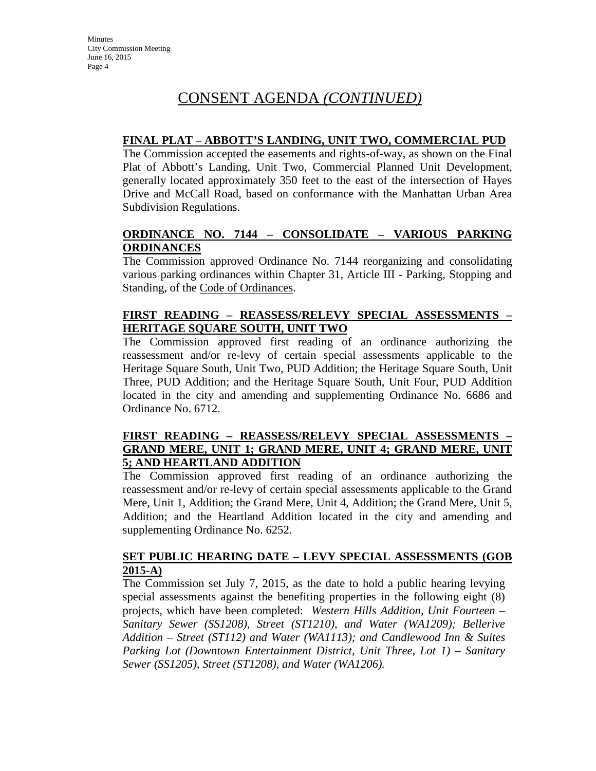### **FINAL PLAT – ABBOTT'S LANDING, UNIT TWO, COMMERCIAL PUD**

The Commission accepted the easements and rights-of-way, as shown on the Final Plat of Abbott's Landing, Unit Two, Commercial Planned Unit Development, generally located approximately 350 feet to the east of the intersection of Hayes Drive and McCall Road, based on conformance with the Manhattan Urban Area Subdivision Regulations.

# **ORDINANCE NO. 7144 – CONSOLIDATE – VARIOUS PARKING ORDINANCES**

The Commission approved Ordinance No. 7144 reorganizing and consolidating various parking ordinances within Chapter 31, Article III - Parking, Stopping and Standing, of the Code of Ordinances.

# **FIRST READING – REASSESS/RELEVY SPECIAL ASSESSMENTS – HERITAGE SQUARE SOUTH, UNIT TWO**

The Commission approved first reading of an ordinance authorizing the reassessment and/or re-levy of certain special assessments applicable to the Heritage Square South, Unit Two, PUD Addition; the Heritage Square South, Unit Three, PUD Addition; and the Heritage Square South, Unit Four, PUD Addition located in the city and amending and supplementing Ordinance No. 6686 and Ordinance No. 6712.

### **FIRST READING – REASSESS/RELEVY SPECIAL ASSESSMENTS – GRAND MERE, UNIT 1; GRAND MERE, UNIT 4; GRAND MERE, UNIT 5; AND HEARTLAND ADDITION**

The Commission approved first reading of an ordinance authorizing the reassessment and/or re-levy of certain special assessments applicable to the Grand Mere, Unit 1, Addition; the Grand Mere, Unit 4, Addition; the Grand Mere, Unit 5, Addition; and the Heartland Addition located in the city and amending and supplementing Ordinance No. 6252.

#### **SET PUBLIC HEARING DATE – LEVY SPECIAL ASSESSMENTS (GOB 2015-A)**

The Commission set July 7, 2015, as the date to hold a public hearing levying special assessments against the benefiting properties in the following eight (8) projects, which have been completed: *Western Hills Addition, Unit Fourteen – Sanitary Sewer (SS1208), Street (ST1210), and Water (WA1209); Bellerive Addition – Street (ST112) and Water (WA1113); and Candlewood Inn & Suites Parking Lot (Downtown Entertainment District, Unit Three, Lot 1) – Sanitary Sewer (SS1205), Street (ST1208), and Water (WA1206).*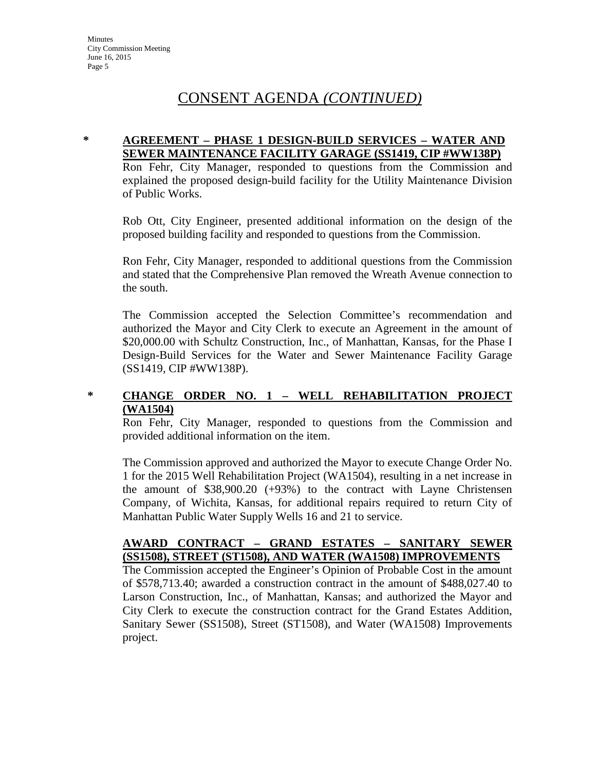#### **\* AGREEMENT – PHASE 1 DESIGN-BUILD SERVICES – WATER AND SEWER MAINTENANCE FACILITY GARAGE (SS1419, CIP #WW138P)**

Ron Fehr, City Manager, responded to questions from the Commission and explained the proposed design-build facility for the Utility Maintenance Division of Public Works.

Rob Ott, City Engineer, presented additional information on the design of the proposed building facility and responded to questions from the Commission.

Ron Fehr, City Manager, responded to additional questions from the Commission and stated that the Comprehensive Plan removed the Wreath Avenue connection to the south.

The Commission accepted the Selection Committee's recommendation and authorized the Mayor and City Clerk to execute an Agreement in the amount of \$20,000.00 with Schultz Construction, Inc., of Manhattan, Kansas, for the Phase I Design-Build Services for the Water and Sewer Maintenance Facility Garage (SS1419, CIP #WW138P).

#### **\* CHANGE ORDER NO. 1 – WELL REHABILITATION PROJECT (WA1504)**

Ron Fehr, City Manager, responded to questions from the Commission and provided additional information on the item.

The Commission approved and authorized the Mayor to execute Change Order No. 1 for the 2015 Well Rehabilitation Project (WA1504), resulting in a net increase in the amount of \$38,900.20 (+93%) to the contract with Layne Christensen Company, of Wichita, Kansas, for additional repairs required to return City of Manhattan Public Water Supply Wells 16 and 21 to service.

#### **AWARD CONTRACT – GRAND ESTATES – SANITARY SEWER (SS1508), STREET (ST1508), AND WATER (WA1508) IMPROVEMENTS**

The Commission accepted the Engineer's Opinion of Probable Cost in the amount of \$578,713.40; awarded a construction contract in the amount of \$488,027.40 to Larson Construction, Inc., of Manhattan, Kansas; and authorized the Mayor and City Clerk to execute the construction contract for the Grand Estates Addition, Sanitary Sewer (SS1508), Street (ST1508), and Water (WA1508) Improvements project.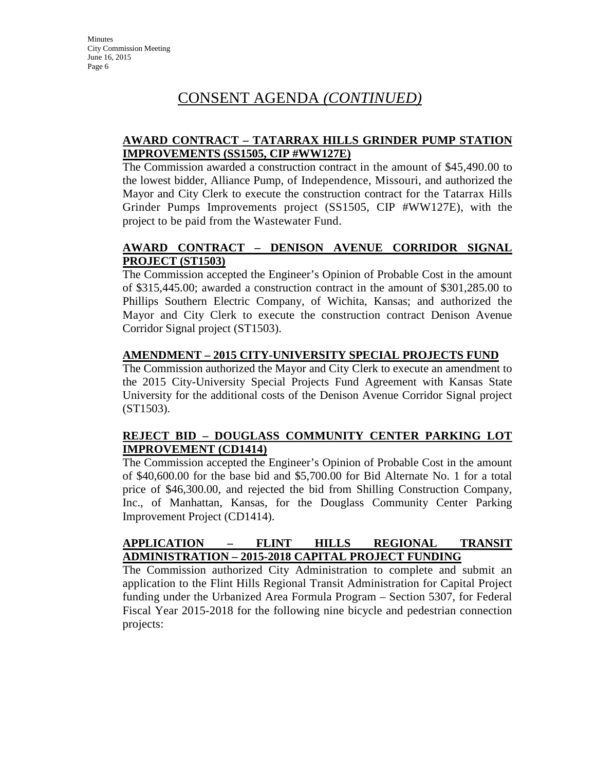### **AWARD CONTRACT – TATARRAX HILLS GRINDER PUMP STATION IMPROVEMENTS (SS1505, CIP #WW127E)**

The Commission awarded a construction contract in the amount of \$45,490.00 to the lowest bidder, Alliance Pump, of Independence, Missouri, and authorized the Mayor and City Clerk to execute the construction contract for the Tatarrax Hills Grinder Pumps Improvements project (SS1505, CIP #WW127E), with the project to be paid from the Wastewater Fund.

### **AWARD CONTRACT – DENISON AVENUE CORRIDOR SIGNAL PROJECT (ST1503)**

The Commission accepted the Engineer's Opinion of Probable Cost in the amount of \$315,445.00; awarded a construction contract in the amount of \$301,285.00 to Phillips Southern Electric Company, of Wichita, Kansas; and authorized the Mayor and City Clerk to execute the construction contract Denison Avenue Corridor Signal project (ST1503).

### **AMENDMENT – 2015 CITY-UNIVERSITY SPECIAL PROJECTS FUND**

The Commission authorized the Mayor and City Clerk to execute an amendment to the 2015 City-University Special Projects Fund Agreement with Kansas State University for the additional costs of the Denison Avenue Corridor Signal project (ST1503).

### **REJECT BID – DOUGLASS COMMUNITY CENTER PARKING LOT IMPROVEMENT (CD1414)**

The Commission accepted the Engineer's Opinion of Probable Cost in the amount of \$40,600.00 for the base bid and \$5,700.00 for Bid Alternate No. 1 for a total price of \$46,300.00, and rejected the bid from Shilling Construction Company, Inc., of Manhattan, Kansas, for the Douglass Community Center Parking Improvement Project (CD1414).

#### **APPLICATION – FLINT HILLS REGIONAL TRANSIT ADMINISTRATION – 2015-2018 CAPITAL PROJECT FUNDING**

The Commission authorized City Administration to complete and submit an application to the Flint Hills Regional Transit Administration for Capital Project funding under the Urbanized Area Formula Program – Section 5307, for Federal Fiscal Year 2015-2018 for the following nine bicycle and pedestrian connection projects: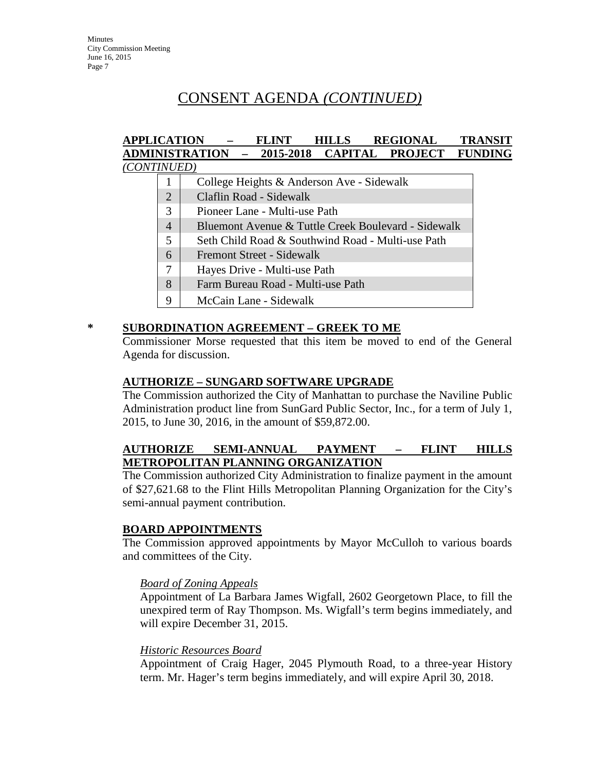#### **APPLICATION – FLINT HILLS REGIONAL TRANSIT ADMINISTRATION – 2015-2018 CAPITAL PROJECT FUNDING** *(CONTINUED)*

|                | College Heights & Anderson Ave - Sidewalk           |
|----------------|-----------------------------------------------------|
| $\overline{2}$ | Claflin Road - Sidewalk                             |
| 3              | Pioneer Lane - Multi-use Path                       |
| $\overline{4}$ | Bluemont Avenue & Tuttle Creek Boulevard - Sidewalk |
| 5              | Seth Child Road & Southwind Road - Multi-use Path   |
| 6              | Fremont Street - Sidewalk                           |
| 7              | Hayes Drive - Multi-use Path                        |
| 8              | Farm Bureau Road - Multi-use Path                   |
| 9              | McCain Lane - Sidewalk                              |
|                |                                                     |

#### **\* SUBORDINATION AGREEMENT – GREEK TO ME**

Commissioner Morse requested that this item be moved to end of the General Agenda for discussion.

#### **AUTHORIZE – SUNGARD SOFTWARE UPGRADE**

The Commission authorized the City of Manhattan to purchase the Naviline Public Administration product line from SunGard Public Sector, Inc., for a term of July 1, 2015, to June 30, 2016, in the amount of \$59,872.00.

### **AUTHORIZE SEMI-ANNUAL PAYMENT – FLINT HILLS METROPOLITAN PLANNING ORGANIZATION**

The Commission authorized City Administration to finalize payment in the amount of \$27,621.68 to the Flint Hills Metropolitan Planning Organization for the City's semi-annual payment contribution.

### **BOARD APPOINTMENTS**

The Commission approved appointments by Mayor McCulloh to various boards and committees of the City.

#### *Board of Zoning Appeals*

Appointment of La Barbara James Wigfall, 2602 Georgetown Place, to fill the unexpired term of Ray Thompson. Ms. Wigfall's term begins immediately, and will expire December 31, 2015.

#### *Historic Resources Board*

Appointment of Craig Hager, 2045 Plymouth Road, to a three-year History term. Mr. Hager's term begins immediately, and will expire April 30, 2018.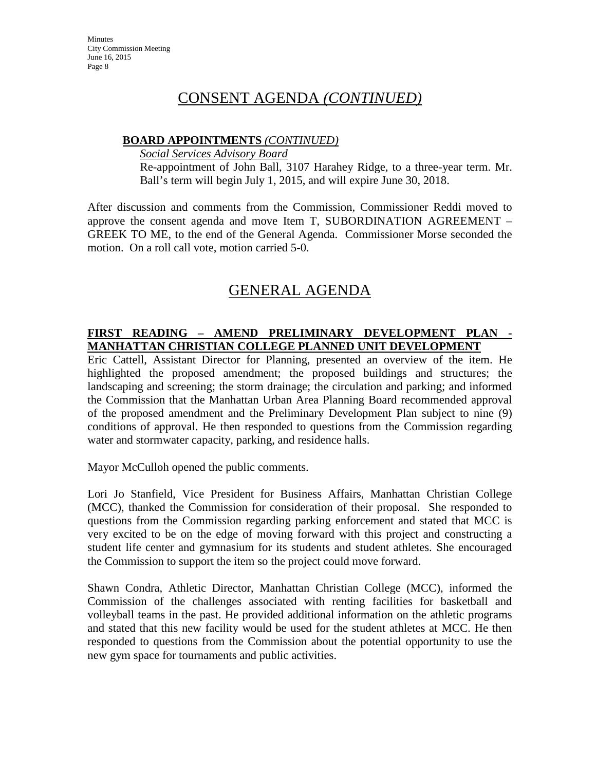#### **BOARD APPOINTMENTS** *(CONTINUED)*

*Social Services Advisory Board*

Re-appointment of John Ball, 3107 Harahey Ridge, to a three-year term. Mr. Ball's term will begin July 1, 2015, and will expire June 30, 2018.

After discussion and comments from the Commission, Commissioner Reddi moved to approve the consent agenda and move Item T, SUBORDINATION AGREEMENT – GREEK TO ME, to the end of the General Agenda. Commissioner Morse seconded the motion. On a roll call vote, motion carried 5-0.

# GENERAL AGENDA

### **FIRST READING – AMEND PRELIMINARY DEVELOPMENT PLAN - MANHATTAN CHRISTIAN COLLEGE PLANNED UNIT DEVELOPMENT**

Eric Cattell, Assistant Director for Planning, presented an overview of the item. He highlighted the proposed amendment; the proposed buildings and structures; the landscaping and screening; the storm drainage; the circulation and parking; and informed the Commission that the Manhattan Urban Area Planning Board recommended approval of the proposed amendment and the Preliminary Development Plan subject to nine (9) conditions of approval. He then responded to questions from the Commission regarding water and stormwater capacity, parking, and residence halls.

Mayor McCulloh opened the public comments.

Lori Jo Stanfield, Vice President for Business Affairs, Manhattan Christian College (MCC), thanked the Commission for consideration of their proposal. She responded to questions from the Commission regarding parking enforcement and stated that MCC is very excited to be on the edge of moving forward with this project and constructing a student life center and gymnasium for its students and student athletes. She encouraged the Commission to support the item so the project could move forward.

Shawn Condra, Athletic Director, Manhattan Christian College (MCC), informed the Commission of the challenges associated with renting facilities for basketball and volleyball teams in the past. He provided additional information on the athletic programs and stated that this new facility would be used for the student athletes at MCC. He then responded to questions from the Commission about the potential opportunity to use the new gym space for tournaments and public activities.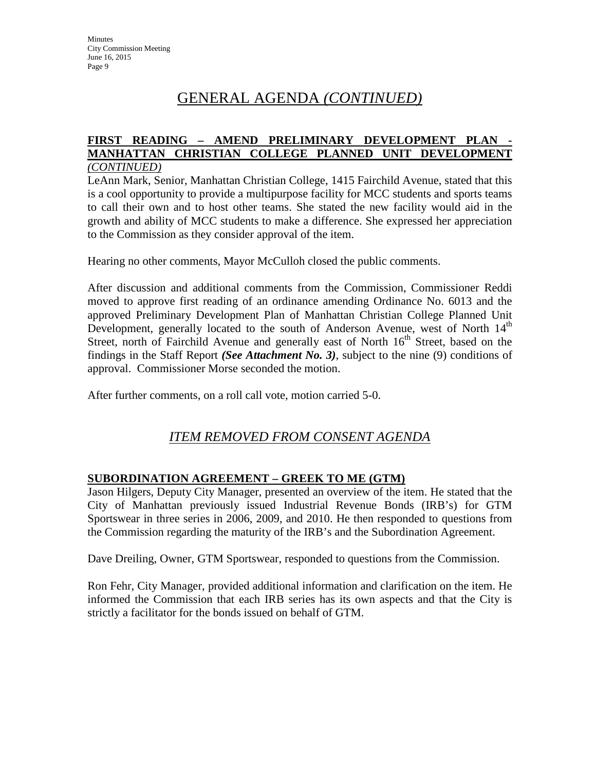# GENERAL AGENDA *(CONTINUED)*

#### **FIRST READING – AMEND PRELIMINARY DEVELOPMENT PLAN - MANHATTAN CHRISTIAN COLLEGE PLANNED UNIT DEVELOPMENT** *(CONTINUED)*

LeAnn Mark, Senior, Manhattan Christian College, 1415 Fairchild Avenue, stated that this is a cool opportunity to provide a multipurpose facility for MCC students and sports teams to call their own and to host other teams. She stated the new facility would aid in the growth and ability of MCC students to make a difference. She expressed her appreciation to the Commission as they consider approval of the item.

Hearing no other comments, Mayor McCulloh closed the public comments.

After discussion and additional comments from the Commission, Commissioner Reddi moved to approve first reading of an ordinance amending Ordinance No. 6013 and the approved Preliminary Development Plan of Manhattan Christian College Planned Unit Development, generally located to the south of Anderson Avenue, west of North  $14<sup>th</sup>$ Street, north of Fairchild Avenue and generally east of North  $16<sup>th</sup>$  Street, based on the findings in the Staff Report *(See Attachment No. 3)*, subject to the nine (9) conditions of approval. Commissioner Morse seconded the motion.

After further comments, on a roll call vote, motion carried 5-0.

# *ITEM REMOVED FROM CONSENT AGENDA*

### **SUBORDINATION AGREEMENT – GREEK TO ME (GTM)**

Jason Hilgers, Deputy City Manager, presented an overview of the item. He stated that the City of Manhattan previously issued Industrial Revenue Bonds (IRB's) for GTM Sportswear in three series in 2006, 2009, and 2010. He then responded to questions from the Commission regarding the maturity of the IRB's and the Subordination Agreement.

Dave Dreiling, Owner, GTM Sportswear, responded to questions from the Commission.

Ron Fehr, City Manager, provided additional information and clarification on the item. He informed the Commission that each IRB series has its own aspects and that the City is strictly a facilitator for the bonds issued on behalf of GTM.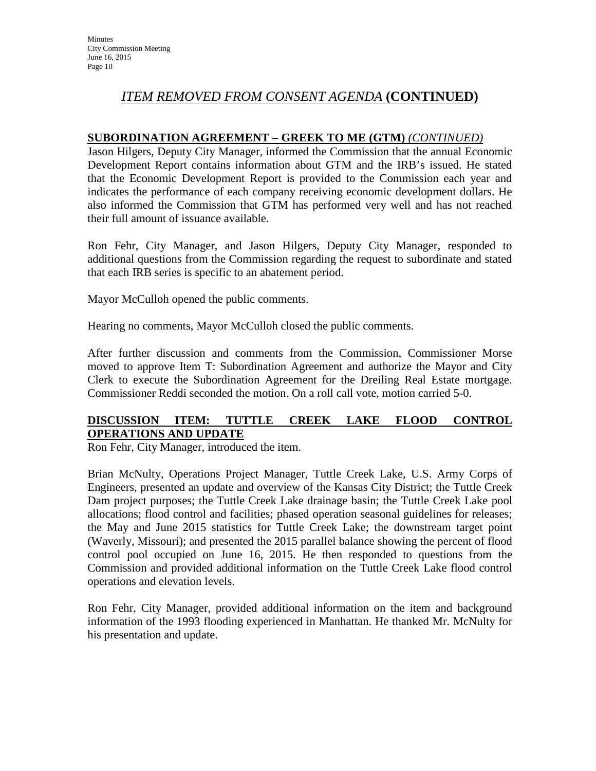# *ITEM REMOVED FROM CONSENT AGENDA* **(CONTINUED)**

# **SUBORDINATION AGREEMENT – GREEK TO ME (GTM)** *(CONTINUED)*

Jason Hilgers, Deputy City Manager, informed the Commission that the annual Economic Development Report contains information about GTM and the IRB's issued. He stated that the Economic Development Report is provided to the Commission each year and indicates the performance of each company receiving economic development dollars. He also informed the Commission that GTM has performed very well and has not reached their full amount of issuance available.

Ron Fehr, City Manager, and Jason Hilgers, Deputy City Manager, responded to additional questions from the Commission regarding the request to subordinate and stated that each IRB series is specific to an abatement period.

Mayor McCulloh opened the public comments.

Hearing no comments, Mayor McCulloh closed the public comments.

After further discussion and comments from the Commission, Commissioner Morse moved to approve Item T: Subordination Agreement and authorize the Mayor and City Clerk to execute the Subordination Agreement for the Dreiling Real Estate mortgage. Commissioner Reddi seconded the motion. On a roll call vote, motion carried 5-0.

### **DISCUSSION ITEM: TUTTLE CREEK LAKE FLOOD CONTROL OPERATIONS AND UPDATE**

Ron Fehr, City Manager, introduced the item.

Brian McNulty, Operations Project Manager, Tuttle Creek Lake, U.S. Army Corps of Engineers, presented an update and overview of the Kansas City District; the Tuttle Creek Dam project purposes; the Tuttle Creek Lake drainage basin; the Tuttle Creek Lake pool allocations; flood control and facilities; phased operation seasonal guidelines for releases; the May and June 2015 statistics for Tuttle Creek Lake; the downstream target point (Waverly, Missouri); and presented the 2015 parallel balance showing the percent of flood control pool occupied on June 16, 2015. He then responded to questions from the Commission and provided additional information on the Tuttle Creek Lake flood control operations and elevation levels.

Ron Fehr, City Manager, provided additional information on the item and background information of the 1993 flooding experienced in Manhattan. He thanked Mr. McNulty for his presentation and update.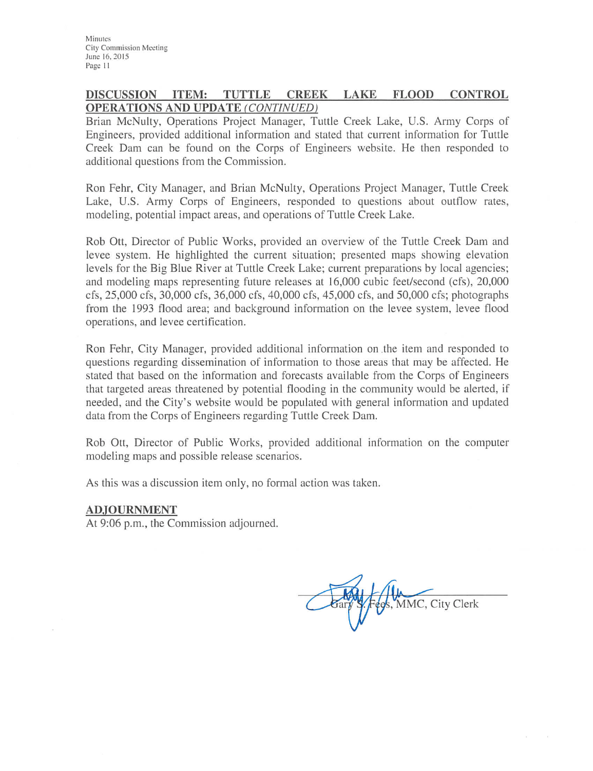#### **DISCUSSION ITEM:** TUTTLE CREEK LAKE **FLOOD CONTROL OPERATIONS AND UPDATE (CONTINUED)**

Brian McNulty, Operations Project Manager, Tuttle Creek Lake, U.S. Army Corps of Engineers, provided additional information and stated that current information for Tuttle Creek Dam can be found on the Corps of Engineers website. He then responded to additional questions from the Commission.

Ron Fehr, City Manager, and Brian McNulty, Operations Project Manager, Tuttle Creek Lake, U.S. Army Corps of Engineers, responded to questions about outflow rates, modeling, potential impact areas, and operations of Tuttle Creek Lake.

Rob Ott, Director of Public Works, provided an overview of the Tuttle Creek Dam and levee system. He highlighted the current situation; presented maps showing elevation levels for the Big Blue River at Tuttle Creek Lake; current preparations by local agencies; and modeling maps representing future releases at 16,000 cubic feet/second (cfs), 20,000 cfs, 25,000 cfs, 30,000 cfs, 36,000 cfs, 40,000 cfs, 45,000 cfs, and 50,000 cfs; photographs from the 1993 flood area; and background information on the levee system, levee flood operations, and levee certification.

Ron Fehr, City Manager, provided additional information on the item and responded to questions regarding dissemination of information to those areas that may be affected. He stated that based on the information and forecasts available from the Corps of Engineers that targeted areas threatened by potential flooding in the community would be alerted, if needed, and the City's website would be populated with general information and updated data from the Corps of Engineers regarding Tuttle Creek Dam.

Rob Ott, Director of Public Works, provided additional information on the computer modeling maps and possible release scenarios.

As this was a discussion item only, no formal action was taken.

#### **ADJOURNMENT**

At 9:06 p.m., the Commission adjourned.

MMC, City Clerk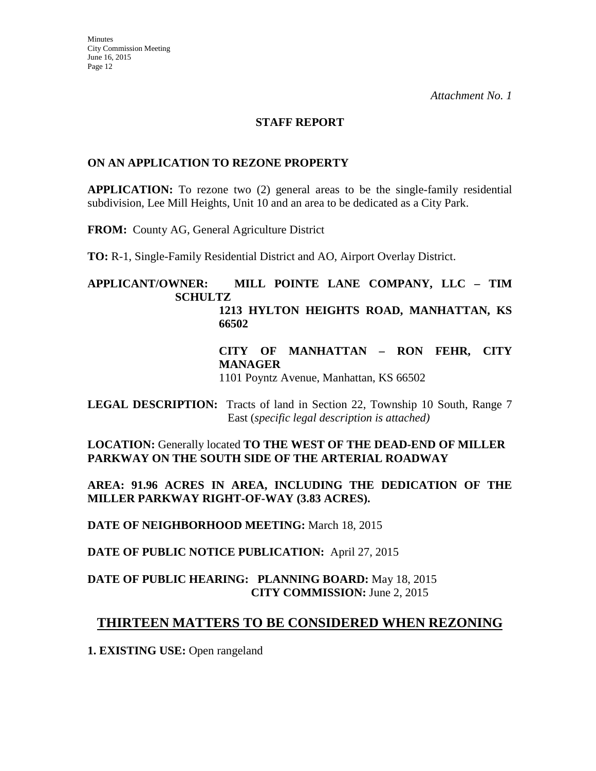#### **STAFF REPORT**

#### **ON AN APPLICATION TO REZONE PROPERTY**

**APPLICATION:** To rezone two (2) general areas to be the single-family residential subdivision, Lee Mill Heights, Unit 10 and an area to be dedicated as a City Park.

**FROM:** County AG, General Agriculture District

**TO:** R-1, Single-Family Residential District and AO, Airport Overlay District.

#### **APPLICANT/OWNER: MILL POINTE LANE COMPANY, LLC – TIM SCHULTZ 1213 HYLTON HEIGHTS ROAD, MANHATTAN, KS 66502**

**CITY OF MANHATTAN – RON FEHR, CITY MANAGER**

1101 Poyntz Avenue, Manhattan, KS 66502

**LEGAL DESCRIPTION:** Tracts of land in Section 22, Township 10 South, Range 7 East (*specific legal description is attached)*

**LOCATION:** Generally located **TO THE WEST OF THE DEAD-END OF MILLER PARKWAY ON THE SOUTH SIDE OF THE ARTERIAL ROADWAY**

**AREA: 91.96 ACRES IN AREA, INCLUDING THE DEDICATION OF THE MILLER PARKWAY RIGHT-OF-WAY (3.83 ACRES).**

**DATE OF NEIGHBORHOOD MEETING:** March 18, 2015

**DATE OF PUBLIC NOTICE PUBLICATION:** April 27, 2015

### **DATE OF PUBLIC HEARING: PLANNING BOARD:** May 18, 2015 **CITY COMMISSION:** June 2, 2015

# **THIRTEEN MATTERS TO BE CONSIDERED WHEN REZONING**

**1. EXISTING USE:** Open rangeland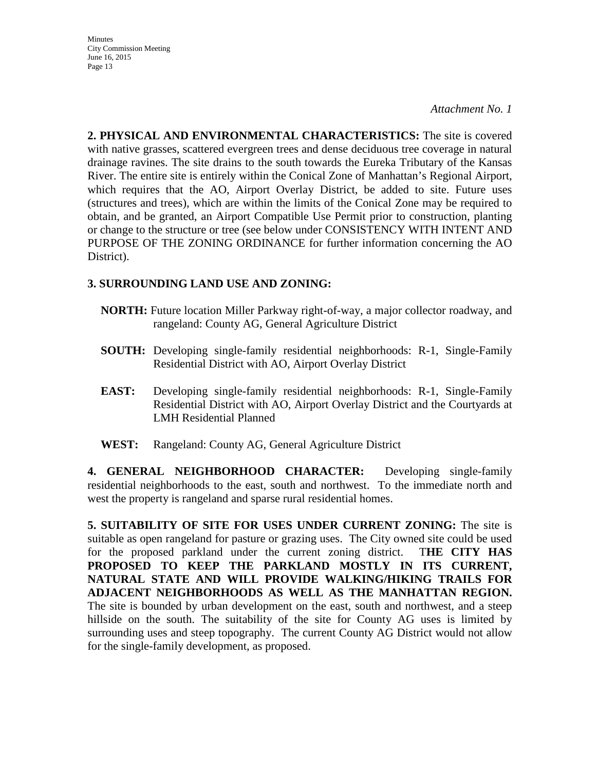*Attachment No. 1*

**2. PHYSICAL AND ENVIRONMENTAL CHARACTERISTICS:** The site is covered with native grasses, scattered evergreen trees and dense deciduous tree coverage in natural drainage ravines. The site drains to the south towards the Eureka Tributary of the Kansas River. The entire site is entirely within the Conical Zone of Manhattan's Regional Airport, which requires that the AO, Airport Overlay District, be added to site. Future uses (structures and trees), which are within the limits of the Conical Zone may be required to obtain, and be granted, an Airport Compatible Use Permit prior to construction, planting or change to the structure or tree (see below under CONSISTENCY WITH INTENT AND PURPOSE OF THE ZONING ORDINANCE for further information concerning the AO District).

# **3. SURROUNDING LAND USE AND ZONING:**

- **NORTH:** Future location Miller Parkway right-of-way, a major collector roadway, and rangeland: County AG, General Agriculture District
- **SOUTH:** Developing single-family residential neighborhoods: R-1, Single-Family Residential District with AO, Airport Overlay District
- **EAST:** Developing single-family residential neighborhoods: R-1, Single-Family Residential District with AO, Airport Overlay District and the Courtyards at LMH Residential Planned
- **WEST:** Rangeland: County AG, General Agriculture District

**4. GENERAL NEIGHBORHOOD CHARACTER:** Developing single-family residential neighborhoods to the east, south and northwest. To the immediate north and west the property is rangeland and sparse rural residential homes.

**5. SUITABILITY OF SITE FOR USES UNDER CURRENT ZONING:** The site is suitable as open rangeland for pasture or grazing uses. The City owned site could be used for the proposed parkland under the current zoning district. T**HE CITY HAS PROPOSED TO KEEP THE PARKLAND MOSTLY IN ITS CURRENT, NATURAL STATE AND WILL PROVIDE WALKING/HIKING TRAILS FOR ADJACENT NEIGHBORHOODS AS WELL AS THE MANHATTAN REGION.**  The site is bounded by urban development on the east, south and northwest, and a steep hillside on the south. The suitability of the site for County AG uses is limited by surrounding uses and steep topography. The current County AG District would not allow for the single-family development, as proposed.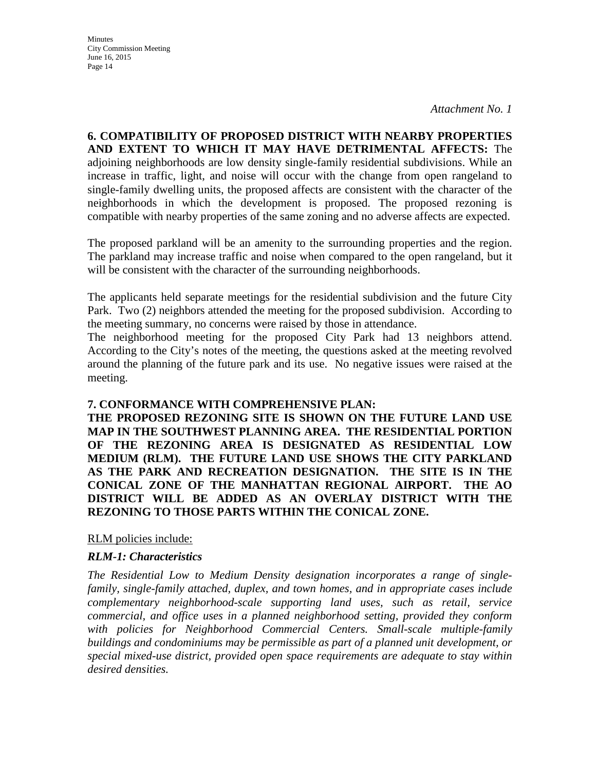**Minutes** City Commission Meeting June 16, 2015 Page 14

**6. COMPATIBILITY OF PROPOSED DISTRICT WITH NEARBY PROPERTIES AND EXTENT TO WHICH IT MAY HAVE DETRIMENTAL AFFECTS:** The adjoining neighborhoods are low density single-family residential subdivisions. While an increase in traffic, light, and noise will occur with the change from open rangeland to single-family dwelling units, the proposed affects are consistent with the character of the neighborhoods in which the development is proposed. The proposed rezoning is compatible with nearby properties of the same zoning and no adverse affects are expected.

The proposed parkland will be an amenity to the surrounding properties and the region. The parkland may increase traffic and noise when compared to the open rangeland, but it will be consistent with the character of the surrounding neighborhoods.

The applicants held separate meetings for the residential subdivision and the future City Park. Two (2) neighbors attended the meeting for the proposed subdivision. According to the meeting summary, no concerns were raised by those in attendance.

The neighborhood meeting for the proposed City Park had 13 neighbors attend. According to the City's notes of the meeting, the questions asked at the meeting revolved around the planning of the future park and its use. No negative issues were raised at the meeting.

#### **7. CONFORMANCE WITH COMPREHENSIVE PLAN:**

**THE PROPOSED REZONING SITE IS SHOWN ON THE FUTURE LAND USE MAP IN THE SOUTHWEST PLANNING AREA. THE RESIDENTIAL PORTION OF THE REZONING AREA IS DESIGNATED AS RESIDENTIAL LOW MEDIUM (RLM). THE FUTURE LAND USE SHOWS THE CITY PARKLAND AS THE PARK AND RECREATION DESIGNATION. THE SITE IS IN THE CONICAL ZONE OF THE MANHATTAN REGIONAL AIRPORT. THE AO DISTRICT WILL BE ADDED AS AN OVERLAY DISTRICT WITH THE REZONING TO THOSE PARTS WITHIN THE CONICAL ZONE.**

RLM policies include:

### *RLM-1: Characteristics*

*The Residential Low to Medium Density designation incorporates a range of singlefamily, single-family attached, duplex, and town homes, and in appropriate cases include complementary neighborhood-scale supporting land uses, such as retail, service commercial, and office uses in a planned neighborhood setting, provided they conform with policies for Neighborhood Commercial Centers. Small-scale multiple-family buildings and condominiums may be permissible as part of a planned unit development, or special mixed-use district, provided open space requirements are adequate to stay within desired densities.*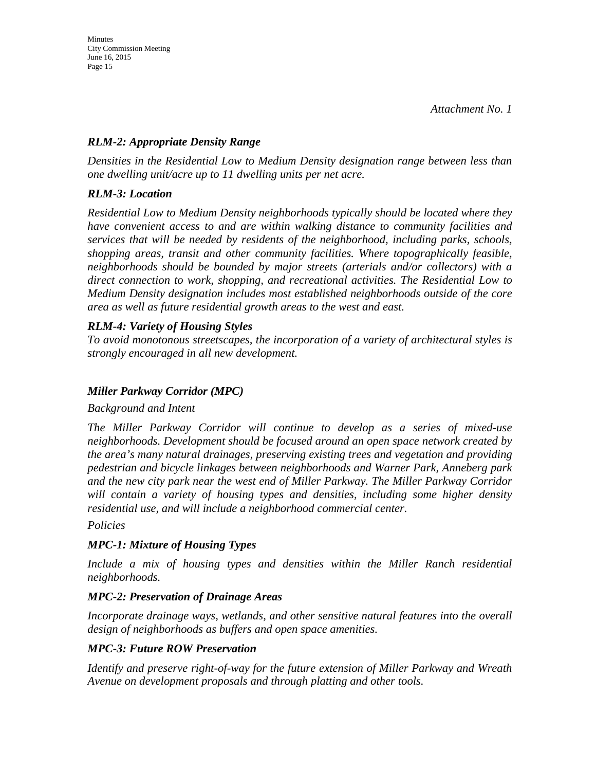### *RLM-2: Appropriate Density Range*

*Densities in the Residential Low to Medium Density designation range between less than one dwelling unit/acre up to 11 dwelling units per net acre.* 

# *RLM-3: Location*

*Residential Low to Medium Density neighborhoods typically should be located where they have convenient access to and are within walking distance to community facilities and services that will be needed by residents of the neighborhood, including parks, schools, shopping areas, transit and other community facilities. Where topographically feasible, neighborhoods should be bounded by major streets (arterials and/or collectors) with a direct connection to work, shopping, and recreational activities. The Residential Low to Medium Density designation includes most established neighborhoods outside of the core area as well as future residential growth areas to the west and east.* 

# *RLM-4: Variety of Housing Styles*

*To avoid monotonous streetscapes, the incorporation of a variety of architectural styles is strongly encouraged in all new development.*

# *Miller Parkway Corridor (MPC)*

*Background and Intent* 

*The Miller Parkway Corridor will continue to develop as a series of mixed-use neighborhoods. Development should be focused around an open space network created by the area's many natural drainages, preserving existing trees and vegetation and providing pedestrian and bicycle linkages between neighborhoods and Warner Park, Anneberg park and the new city park near the west end of Miller Parkway. The Miller Parkway Corridor will contain a variety of housing types and densities, including some higher density residential use, and will include a neighborhood commercial center.* 

### *Policies*

### *MPC-1: Mixture of Housing Types*

*Include a mix of housing types and densities within the Miller Ranch residential neighborhoods.* 

### *MPC-2: Preservation of Drainage Areas*

*Incorporate drainage ways, wetlands, and other sensitive natural features into the overall design of neighborhoods as buffers and open space amenities.* 

### *MPC-3: Future ROW Preservation*

*Identify and preserve right-of-way for the future extension of Miller Parkway and Wreath Avenue on development proposals and through platting and other tools.*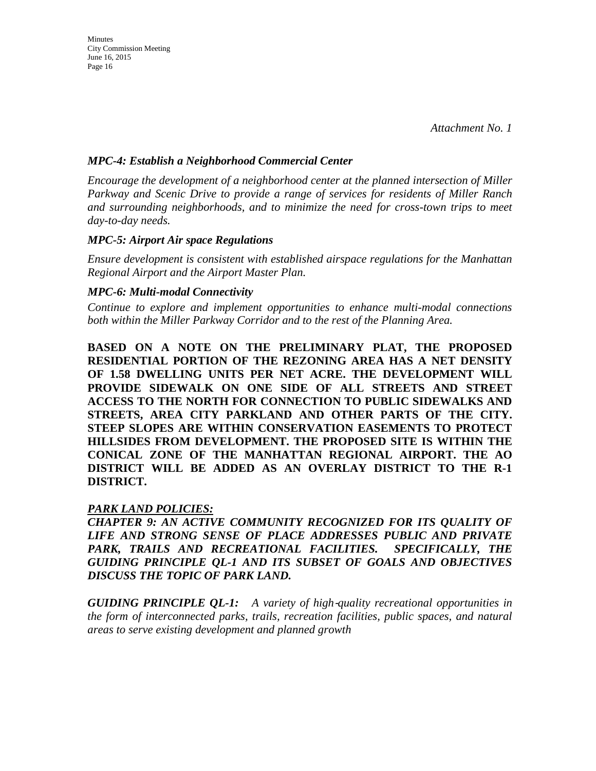*Attachment No. 1*

#### *MPC-4: Establish a Neighborhood Commercial Center*

*Encourage the development of a neighborhood center at the planned intersection of Miller Parkway and Scenic Drive to provide a range of services for residents of Miller Ranch and surrounding neighborhoods, and to minimize the need for cross-town trips to meet day-to-day needs.* 

#### *MPC-5: Airport Air space Regulations*

*Ensure development is consistent with established airspace regulations for the Manhattan Regional Airport and the Airport Master Plan.* 

#### *MPC-6: Multi-modal Connectivity*

*Continue to explore and implement opportunities to enhance multi-modal connections both within the Miller Parkway Corridor and to the rest of the Planning Area.*

**BASED ON A NOTE ON THE PRELIMINARY PLAT, THE PROPOSED RESIDENTIAL PORTION OF THE REZONING AREA HAS A NET DENSITY OF 1.58 DWELLING UNITS PER NET ACRE. THE DEVELOPMENT WILL PROVIDE SIDEWALK ON ONE SIDE OF ALL STREETS AND STREET ACCESS TO THE NORTH FOR CONNECTION TO PUBLIC SIDEWALKS AND STREETS, AREA CITY PARKLAND AND OTHER PARTS OF THE CITY. STEEP SLOPES ARE WITHIN CONSERVATION EASEMENTS TO PROTECT HILLSIDES FROM DEVELOPMENT. THE PROPOSED SITE IS WITHIN THE CONICAL ZONE OF THE MANHATTAN REGIONAL AIRPORT. THE AO DISTRICT WILL BE ADDED AS AN OVERLAY DISTRICT TO THE R-1 DISTRICT.** 

### *PARK LAND POLICIES:*

*CHAPTER 9: AN ACTIVE COMMUNITY RECOGNIZED FOR ITS QUALITY OF LIFE AND STRONG SENSE OF PLACE ADDRESSES PUBLIC AND PRIVATE PARK, TRAILS AND RECREATIONAL FACILITIES. SPECIFICALLY, THE GUIDING PRINCIPLE QL-1 AND ITS SUBSET OF GOALS AND OBJECTIVES DISCUSS THE TOPIC OF PARK LAND.* 

*GUIDING PRINCIPLE QL-1: A variety of high*‐*quality recreational opportunities in the form of interconnected parks, trails, recreation facilities, public spaces, and natural areas to serve existing development and planned growth*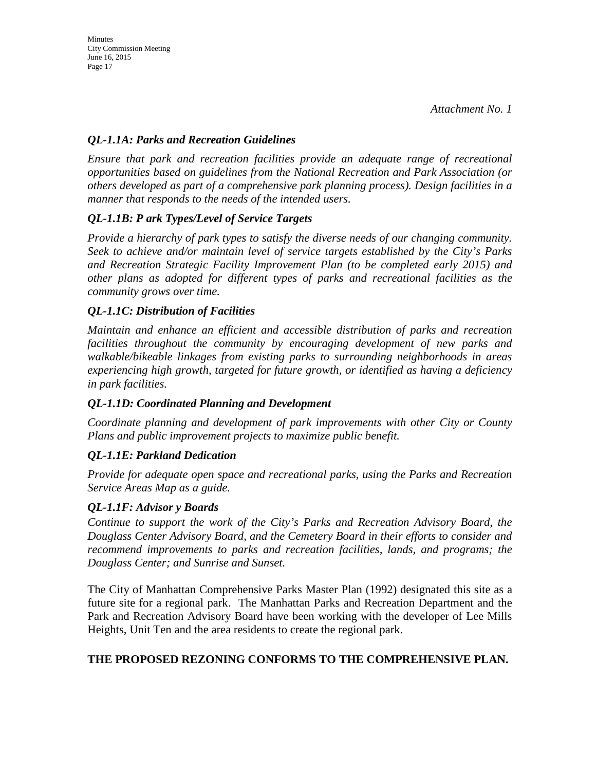# *QL-1.1A: Parks and Recreation Guidelines*

*Ensure that park and recreation facilities provide an adequate range of recreational opportunities based on guidelines from the National Recreation and Park Association (or others developed as part of a comprehensive park planning process). Design facilities in a manner that responds to the needs of the intended users.* 

# *QL-1.1B: P ark Types/Level of Service Targets*

*Provide a hierarchy of park types to satisfy the diverse needs of our changing community. Seek to achieve and/or maintain level of service targets established by the City's Parks and Recreation Strategic Facility Improvement Plan (to be completed early 2015) and other plans as adopted for different types of parks and recreational facilities as the community grows over time.* 

# *QL-1.1C: Distribution of Facilities*

*Maintain and enhance an efficient and accessible distribution of parks and recreation facilities throughout the community by encouraging development of new parks and walkable/bikeable linkages from existing parks to surrounding neighborhoods in areas experiencing high growth, targeted for future growth, or identified as having a deficiency in park facilities.* 

### *QL-1.1D: Coordinated Planning and Development*

*Coordinate planning and development of park improvements with other City or County Plans and public improvement projects to maximize public benefit.* 

# *QL-1.1E: Parkland Dedication*

*Provide for adequate open space and recreational parks, using the Parks and Recreation Service Areas Map as a guide.* 

### *QL-1.1F: Advisor y Boards*

*Continue to support the work of the City's Parks and Recreation Advisory Board, the Douglass Center Advisory Board, and the Cemetery Board in their efforts to consider and recommend improvements to parks and recreation facilities, lands, and programs; the Douglass Center; and Sunrise and Sunset.*

The City of Manhattan Comprehensive Parks Master Plan (1992) designated this site as a future site for a regional park. The Manhattan Parks and Recreation Department and the Park and Recreation Advisory Board have been working with the developer of Lee Mills Heights, Unit Ten and the area residents to create the regional park.

### **THE PROPOSED REZONING CONFORMS TO THE COMPREHENSIVE PLAN.**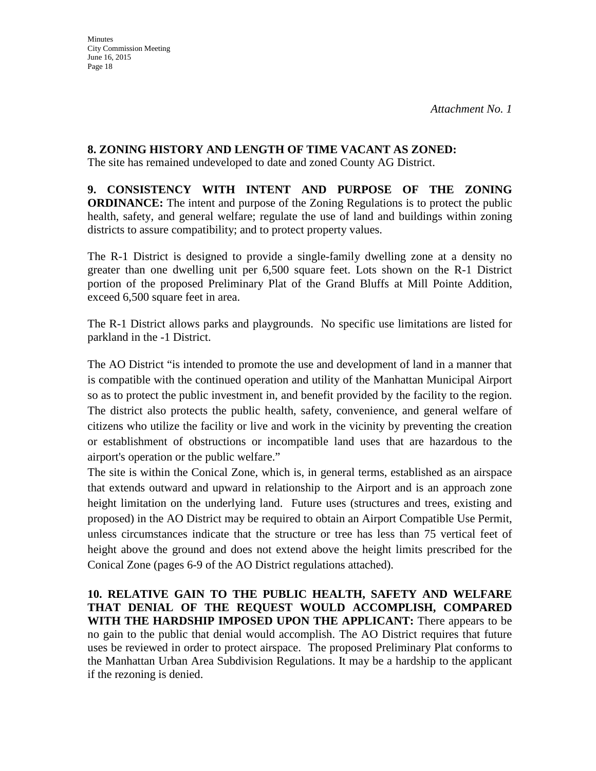# **8. ZONING HISTORY AND LENGTH OF TIME VACANT AS ZONED:**

The site has remained undeveloped to date and zoned County AG District.

**9. CONSISTENCY WITH INTENT AND PURPOSE OF THE ZONING ORDINANCE:** The intent and purpose of the Zoning Regulations is to protect the public health, safety, and general welfare; regulate the use of land and buildings within zoning districts to assure compatibility; and to protect property values.

The R-1 District is designed to provide a single-family dwelling zone at a density no greater than one dwelling unit per 6,500 square feet. Lots shown on the R-1 District portion of the proposed Preliminary Plat of the Grand Bluffs at Mill Pointe Addition, exceed 6,500 square feet in area.

The R-1 District allows parks and playgrounds. No specific use limitations are listed for parkland in the -1 District.

The AO District "is intended to promote the use and development of land in a manner that is compatible with the continued operation and utility of the Manhattan Municipal Airport so as to protect the public investment in, and benefit provided by the facility to the region. The district also protects the public health, safety, convenience, and general welfare of citizens who utilize the facility or live and work in the vicinity by preventing the creation or establishment of obstructions or incompatible land uses that are hazardous to the airport's operation or the public welfare."

The site is within the Conical Zone, which is, in general terms, established as an airspace that extends outward and upward in relationship to the Airport and is an approach zone height limitation on the underlying land. Future uses (structures and trees, existing and proposed) in the AO District may be required to obtain an Airport Compatible Use Permit, unless circumstances indicate that the structure or tree has less than 75 vertical feet of height above the ground and does not extend above the height limits prescribed for the Conical Zone (pages 6-9 of the AO District regulations attached).

**10. RELATIVE GAIN TO THE PUBLIC HEALTH, SAFETY AND WELFARE THAT DENIAL OF THE REQUEST WOULD ACCOMPLISH, COMPARED WITH THE HARDSHIP IMPOSED UPON THE APPLICANT:** There appears to be no gain to the public that denial would accomplish. The AO District requires that future uses be reviewed in order to protect airspace. The proposed Preliminary Plat conforms to the Manhattan Urban Area Subdivision Regulations. It may be a hardship to the applicant if the rezoning is denied.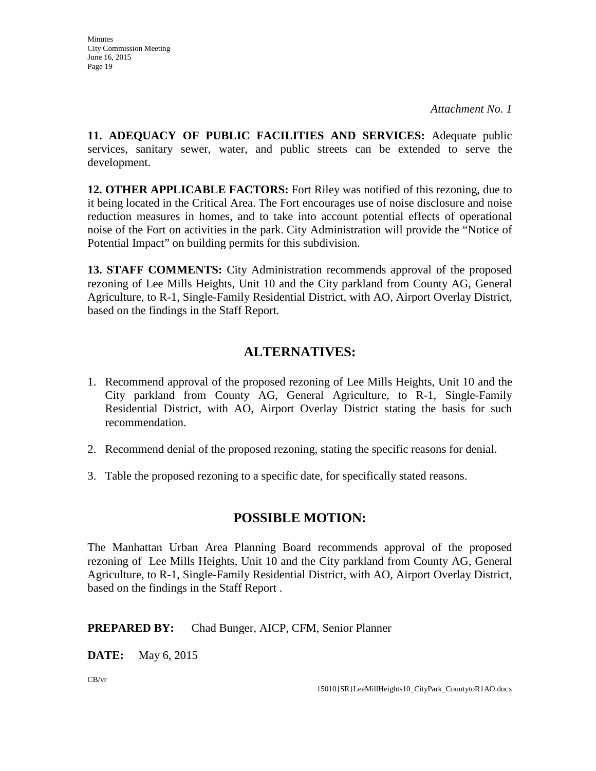**11. ADEQUACY OF PUBLIC FACILITIES AND SERVICES:** Adequate public services, sanitary sewer, water, and public streets can be extended to serve the development.

**12. OTHER APPLICABLE FACTORS:** Fort Riley was notified of this rezoning, due to it being located in the Critical Area. The Fort encourages use of noise disclosure and noise reduction measures in homes, and to take into account potential effects of operational noise of the Fort on activities in the park. City Administration will provide the "Notice of Potential Impact" on building permits for this subdivision.

**13. STAFF COMMENTS:** City Administration recommends approval of the proposed rezoning of Lee Mills Heights, Unit 10 and the City parkland from County AG, General Agriculture, to R-1, Single-Family Residential District, with AO, Airport Overlay District, based on the findings in the Staff Report.

# **ALTERNATIVES:**

- 1. Recommend approval of the proposed rezoning of Lee Mills Heights, Unit 10 and the City parkland from County AG, General Agriculture, to R-1, Single-Family Residential District, with AO, Airport Overlay District stating the basis for such recommendation.
- 2. Recommend denial of the proposed rezoning, stating the specific reasons for denial.
- 3. Table the proposed rezoning to a specific date, for specifically stated reasons.

# **POSSIBLE MOTION:**

The Manhattan Urban Area Planning Board recommends approval of the proposed rezoning of Lee Mills Heights, Unit 10 and the City parkland from County AG, General Agriculture, to R-1, Single-Family Residential District, with AO, Airport Overlay District, based on the findings in the Staff Report .

### **PREPARED BY:** Chad Bunger, AICP, CFM, Senior Planner

**DATE:** May 6, 2015

CB/vr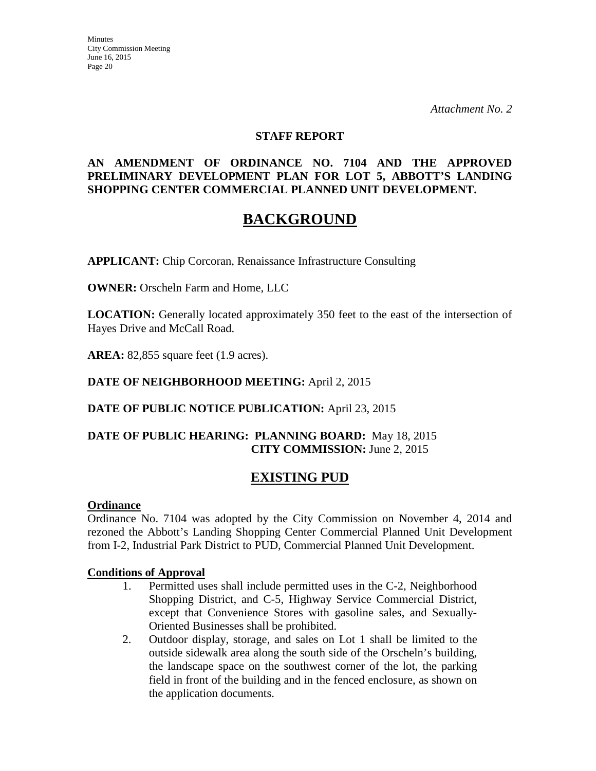#### **STAFF REPORT**

#### **AN AMENDMENT OF ORDINANCE NO. 7104 AND THE APPROVED PRELIMINARY DEVELOPMENT PLAN FOR LOT 5, ABBOTT'S LANDING SHOPPING CENTER COMMERCIAL PLANNED UNIT DEVELOPMENT.**

# **BACKGROUND**

**APPLICANT:** Chip Corcoran, Renaissance Infrastructure Consulting

**OWNER:** Orscheln Farm and Home, LLC

**LOCATION:** Generally located approximately 350 feet to the east of the intersection of Hayes Drive and McCall Road.

**AREA:** 82,855 square feet (1.9 acres).

#### **DATE OF NEIGHBORHOOD MEETING:** April 2, 2015

### **DATE OF PUBLIC NOTICE PUBLICATION:** April 23, 2015

#### **DATE OF PUBLIC HEARING: PLANNING BOARD:** May 18, 2015 **CITY COMMISSION:** June 2, 2015

# **EXISTING PUD**

#### **Ordinance**

Ordinance No. 7104 was adopted by the City Commission on November 4, 2014 and rezoned the Abbott's Landing Shopping Center Commercial Planned Unit Development from I-2, Industrial Park District to PUD, Commercial Planned Unit Development.

#### **Conditions of Approval**

- 1. Permitted uses shall include permitted uses in the C-2, Neighborhood Shopping District, and C-5, Highway Service Commercial District, except that Convenience Stores with gasoline sales, and Sexually-Oriented Businesses shall be prohibited.
- 2. Outdoor display, storage, and sales on Lot 1 shall be limited to the outside sidewalk area along the south side of the Orscheln's building, the landscape space on the southwest corner of the lot, the parking field in front of the building and in the fenced enclosure, as shown on the application documents.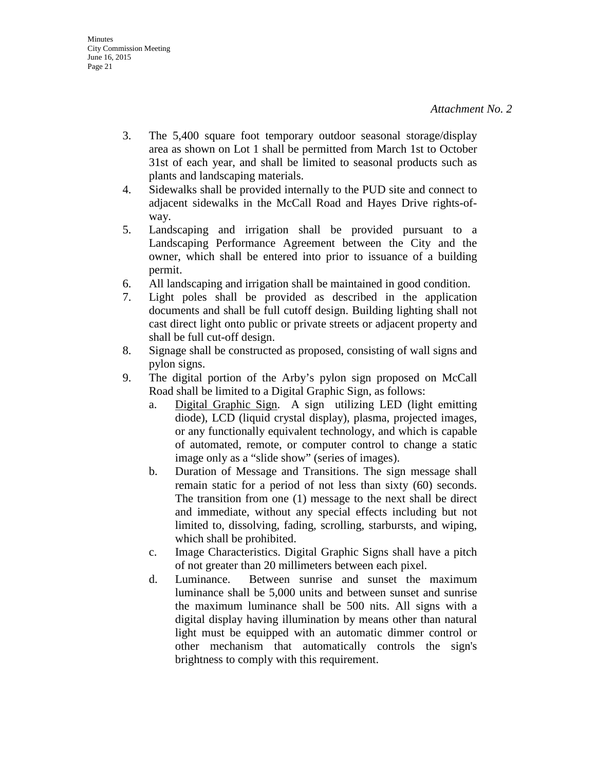- 3. The 5,400 square foot temporary outdoor seasonal storage/display area as shown on Lot 1 shall be permitted from March 1st to October 31st of each year, and shall be limited to seasonal products such as plants and landscaping materials.
- 4. Sidewalks shall be provided internally to the PUD site and connect to adjacent sidewalks in the McCall Road and Hayes Drive rights-ofway.
- 5. Landscaping and irrigation shall be provided pursuant to a Landscaping Performance Agreement between the City and the owner, which shall be entered into prior to issuance of a building permit.
- 6. All landscaping and irrigation shall be maintained in good condition.
- 7. Light poles shall be provided as described in the application documents and shall be full cutoff design. Building lighting shall not cast direct light onto public or private streets or adjacent property and shall be full cut-off design.
- 8. Signage shall be constructed as proposed, consisting of wall signs and pylon signs.
- 9. The digital portion of the Arby's pylon sign proposed on McCall Road shall be limited to a Digital Graphic Sign, as follows:
	- a. Digital Graphic Sign. A sign utilizing LED (light emitting diode), LCD (liquid crystal display), plasma, projected images, or any functionally equivalent technology, and which is capable of automated, remote, or computer control to change a static image only as a "slide show" (series of images).
	- b. Duration of Message and Transitions. The sign message shall remain static for a period of not less than sixty (60) seconds. The transition from one (1) message to the next shall be direct and immediate, without any special effects including but not limited to, dissolving, fading, scrolling, starbursts, and wiping, which shall be prohibited.
	- c. Image Characteristics. Digital Graphic Signs shall have a pitch of not greater than 20 millimeters between each pixel.
	- d. Luminance. Between sunrise and sunset the maximum luminance shall be 5,000 units and between sunset and sunrise the maximum luminance shall be 500 nits. All signs with a digital display having illumination by means other than natural light must be equipped with an automatic dimmer control or other mechanism that automatically controls the sign's brightness to comply with this requirement.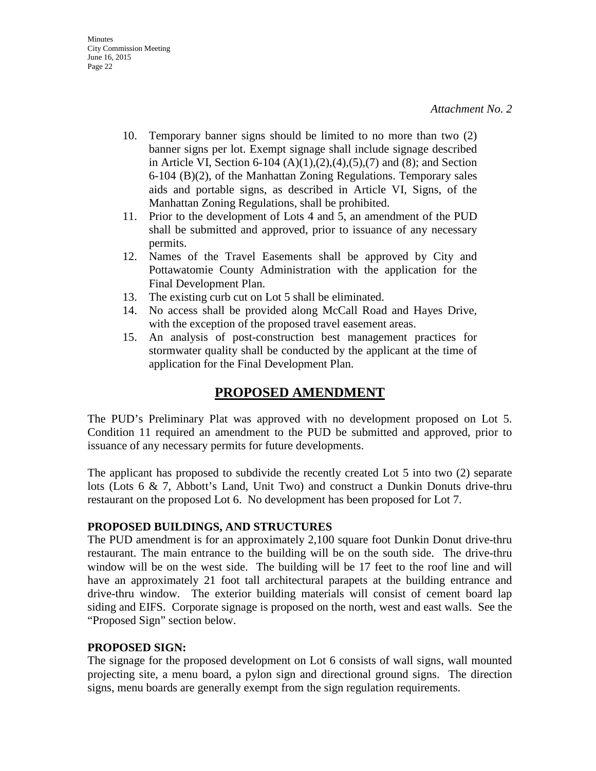- 10. Temporary banner signs should be limited to no more than two (2) banner signs per lot. Exempt signage shall include signage described in Article VI, Section 6-104  $(A)(1),(2),(4),(5),(7)$  and  $(8)$ ; and Section 6-104 (B)(2), of the Manhattan Zoning Regulations. Temporary sales aids and portable signs, as described in Article VI, Signs, of the Manhattan Zoning Regulations, shall be prohibited.
- 11. Prior to the development of Lots 4 and 5, an amendment of the PUD shall be submitted and approved, prior to issuance of any necessary permits.
- 12. Names of the Travel Easements shall be approved by City and Pottawatomie County Administration with the application for the Final Development Plan.
- 13. The existing curb cut on Lot 5 shall be eliminated.
- 14. No access shall be provided along McCall Road and Hayes Drive, with the exception of the proposed travel easement areas.
- 15. An analysis of post-construction best management practices for stormwater quality shall be conducted by the applicant at the time of application for the Final Development Plan.

# **PROPOSED AMENDMENT**

The PUD's Preliminary Plat was approved with no development proposed on Lot 5. Condition 11 required an amendment to the PUD be submitted and approved, prior to issuance of any necessary permits for future developments.

The applicant has proposed to subdivide the recently created Lot 5 into two (2) separate lots (Lots 6 & 7, Abbott's Land, Unit Two) and construct a Dunkin Donuts drive-thru restaurant on the proposed Lot 6. No development has been proposed for Lot 7.

### **PROPOSED BUILDINGS, AND STRUCTURES**

The PUD amendment is for an approximately 2,100 square foot Dunkin Donut drive-thru restaurant. The main entrance to the building will be on the south side. The drive-thru window will be on the west side. The building will be 17 feet to the roof line and will have an approximately 21 foot tall architectural parapets at the building entrance and drive-thru window. The exterior building materials will consist of cement board lap siding and EIFS. Corporate signage is proposed on the north, west and east walls. See the "Proposed Sign" section below.

#### **PROPOSED SIGN:**

The signage for the proposed development on Lot 6 consists of wall signs, wall mounted projecting site, a menu board, a pylon sign and directional ground signs. The direction signs, menu boards are generally exempt from the sign regulation requirements.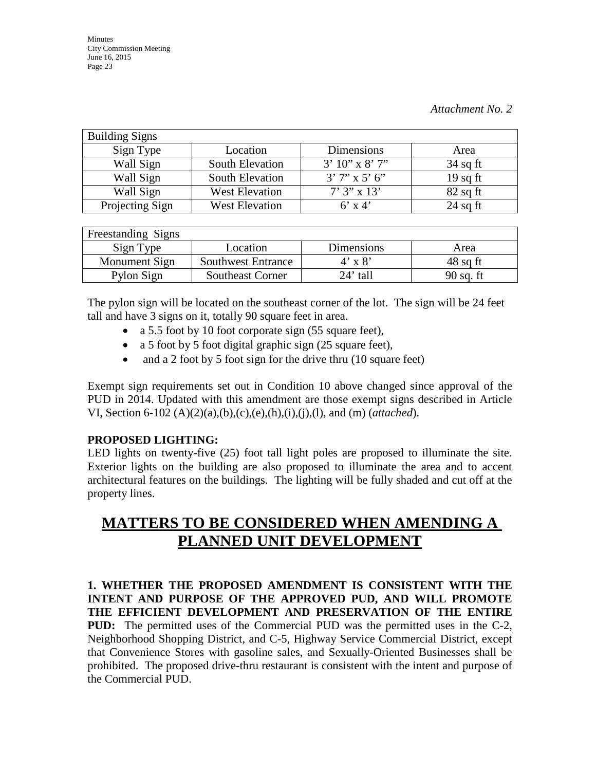| <b>Building Signs</b> |                       |                    |            |
|-----------------------|-----------------------|--------------------|------------|
| Sign Type             | Location              | Dimensions         | Area       |
| Wall Sign             | South Elevation       | $3'10''$ x $8'7''$ | $34$ sq ft |
| Wall Sign             | South Elevation       | $3'7''$ x 5' 6"    | $19$ sq ft |
| Wall Sign             | <b>West Elevation</b> | $7'3'' \times 13'$ | $82$ sq ft |
| Projecting Sign       | <b>West Elevation</b> | $6'$ x 4'          | $24$ sq ft |

| Freestanding Signs |                           |                |             |
|--------------------|---------------------------|----------------|-------------|
| Sign Type          | Location                  | Dimensions     | Area        |
| Monument Sign      | <b>Southwest Entrance</b> | $4' \times 8'$ | $48$ sq ft  |
| Pylon Sign         | <b>Southeast Corner</b>   | $24'$ tall     | $90$ sq. ft |

The pylon sign will be located on the southeast corner of the lot. The sign will be 24 feet tall and have 3 signs on it, totally 90 square feet in area.

- a 5.5 foot by 10 foot corporate sign (55 square feet),
- a 5 foot by 5 foot digital graphic sign (25 square feet),
- and a 2 foot by 5 foot sign for the drive thru (10 square feet)

Exempt sign requirements set out in Condition 10 above changed since approval of the PUD in 2014. Updated with this amendment are those exempt signs described in Article VI, Section 6-102 (A)(2)(a),(b),(c),(e),(h),(i),(j),(l), and (m) (*attached*).

# **PROPOSED LIGHTING:**

LED lights on twenty-five (25) foot tall light poles are proposed to illuminate the site. Exterior lights on the building are also proposed to illuminate the area and to accent architectural features on the buildings. The lighting will be fully shaded and cut off at the property lines.

# **MATTERS TO BE CONSIDERED WHEN AMENDING A PLANNED UNIT DEVELOPMENT**

**1. WHETHER THE PROPOSED AMENDMENT IS CONSISTENT WITH THE INTENT AND PURPOSE OF THE APPROVED PUD, AND WILL PROMOTE THE EFFICIENT DEVELOPMENT AND PRESERVATION OF THE ENTIRE PUD:** The permitted uses of the Commercial PUD was the permitted uses in the C-2, Neighborhood Shopping District, and C-5, Highway Service Commercial District, except that Convenience Stores with gasoline sales, and Sexually-Oriented Businesses shall be prohibited. The proposed drive-thru restaurant is consistent with the intent and purpose of the Commercial PUD.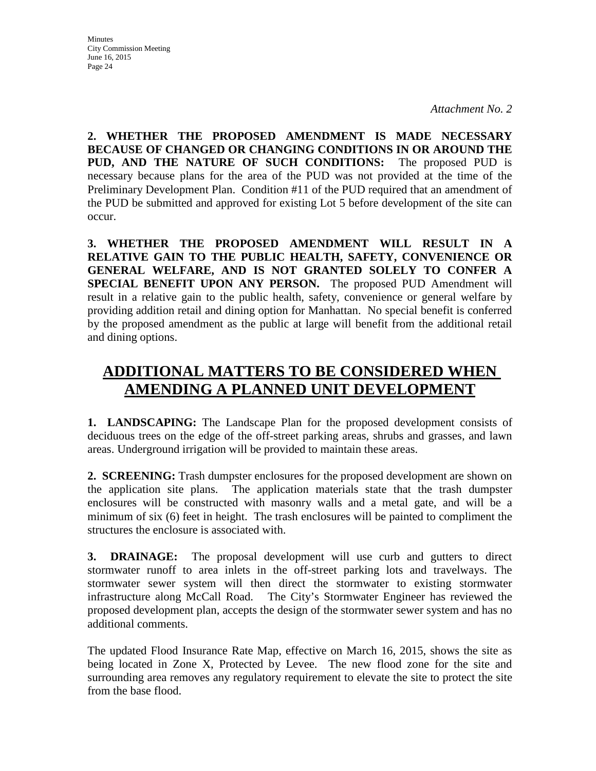**2. WHETHER THE PROPOSED AMENDMENT IS MADE NECESSARY BECAUSE OF CHANGED OR CHANGING CONDITIONS IN OR AROUND THE PUD, AND THE NATURE OF SUCH CONDITIONS:** The proposed PUD is necessary because plans for the area of the PUD was not provided at the time of the Preliminary Development Plan. Condition #11 of the PUD required that an amendment of the PUD be submitted and approved for existing Lot 5 before development of the site can occur.

**3. WHETHER THE PROPOSED AMENDMENT WILL RESULT IN A RELATIVE GAIN TO THE PUBLIC HEALTH, SAFETY, CONVENIENCE OR GENERAL WELFARE, AND IS NOT GRANTED SOLELY TO CONFER A SPECIAL BENEFIT UPON ANY PERSON.** The proposed PUD Amendment will result in a relative gain to the public health, safety, convenience or general welfare by providing addition retail and dining option for Manhattan. No special benefit is conferred by the proposed amendment as the public at large will benefit from the additional retail and dining options.

# **ADDITIONAL MATTERS TO BE CONSIDERED WHEN AMENDING A PLANNED UNIT DEVELOPMENT**

**1. LANDSCAPING:** The Landscape Plan for the proposed development consists of deciduous trees on the edge of the off-street parking areas, shrubs and grasses, and lawn areas. Underground irrigation will be provided to maintain these areas.

**2. SCREENING:** Trash dumpster enclosures for the proposed development are shown on the application site plans. The application materials state that the trash dumpster enclosures will be constructed with masonry walls and a metal gate, and will be a minimum of six (6) feet in height. The trash enclosures will be painted to compliment the structures the enclosure is associated with.

**3. DRAINAGE:** The proposal development will use curb and gutters to direct stormwater runoff to area inlets in the off-street parking lots and travelways. The stormwater sewer system will then direct the stormwater to existing stormwater infrastructure along McCall Road. The City's Stormwater Engineer has reviewed the proposed development plan, accepts the design of the stormwater sewer system and has no additional comments.

The updated Flood Insurance Rate Map, effective on March 16, 2015, shows the site as being located in Zone X, Protected by Levee. The new flood zone for the site and surrounding area removes any regulatory requirement to elevate the site to protect the site from the base flood.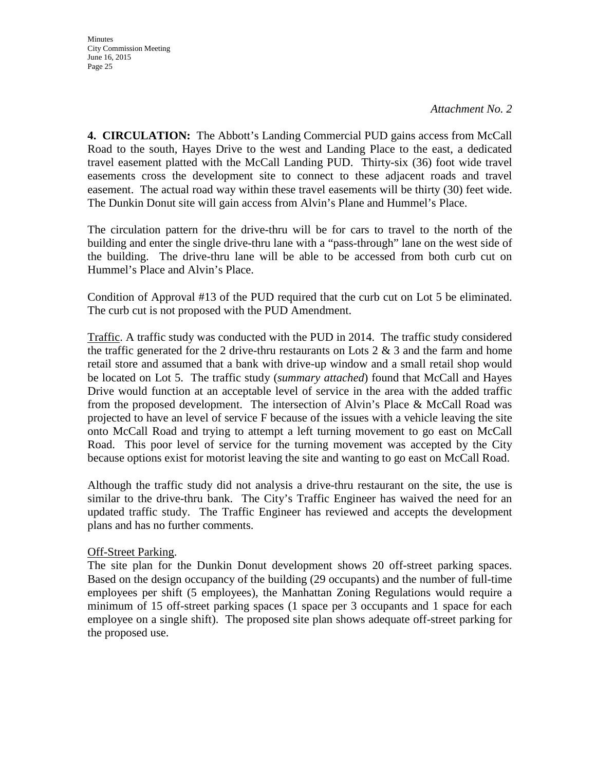**Minutes** City Commission Meeting June 16, 2015 Page 25

**4. CIRCULATION:** The Abbott's Landing Commercial PUD gains access from McCall Road to the south, Hayes Drive to the west and Landing Place to the east, a dedicated travel easement platted with the McCall Landing PUD. Thirty-six (36) foot wide travel easements cross the development site to connect to these adjacent roads and travel easement. The actual road way within these travel easements will be thirty (30) feet wide. The Dunkin Donut site will gain access from Alvin's Plane and Hummel's Place.

The circulation pattern for the drive-thru will be for cars to travel to the north of the building and enter the single drive-thru lane with a "pass-through" lane on the west side of the building. The drive-thru lane will be able to be accessed from both curb cut on Hummel's Place and Alvin's Place.

Condition of Approval #13 of the PUD required that the curb cut on Lot 5 be eliminated. The curb cut is not proposed with the PUD Amendment.

Traffic. A traffic study was conducted with the PUD in 2014. The traffic study considered the traffic generated for the 2 drive-thru restaurants on Lots  $2 \& 3$  and the farm and home retail store and assumed that a bank with drive-up window and a small retail shop would be located on Lot 5. The traffic study (*summary attached*) found that McCall and Hayes Drive would function at an acceptable level of service in the area with the added traffic from the proposed development. The intersection of Alvin's Place & McCall Road was projected to have an level of service F because of the issues with a vehicle leaving the site onto McCall Road and trying to attempt a left turning movement to go east on McCall Road. This poor level of service for the turning movement was accepted by the City because options exist for motorist leaving the site and wanting to go east on McCall Road.

Although the traffic study did not analysis a drive-thru restaurant on the site, the use is similar to the drive-thru bank. The City's Traffic Engineer has waived the need for an updated traffic study. The Traffic Engineer has reviewed and accepts the development plans and has no further comments.

#### Off-Street Parking.

The site plan for the Dunkin Donut development shows 20 off-street parking spaces. Based on the design occupancy of the building (29 occupants) and the number of full-time employees per shift (5 employees), the Manhattan Zoning Regulations would require a minimum of 15 off-street parking spaces (1 space per 3 occupants and 1 space for each employee on a single shift). The proposed site plan shows adequate off-street parking for the proposed use.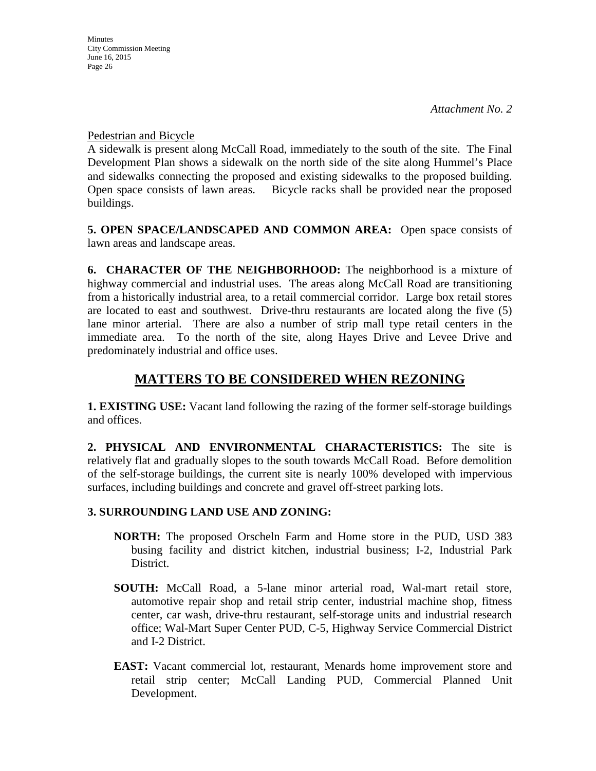Pedestrian and Bicycle

A sidewalk is present along McCall Road, immediately to the south of the site. The Final Development Plan shows a sidewalk on the north side of the site along Hummel's Place and sidewalks connecting the proposed and existing sidewalks to the proposed building. Open space consists of lawn areas. Bicycle racks shall be provided near the proposed buildings.

**5. OPEN SPACE/LANDSCAPED AND COMMON AREA:** Open space consists of lawn areas and landscape areas.

**6. CHARACTER OF THE NEIGHBORHOOD:** The neighborhood is a mixture of highway commercial and industrial uses. The areas along McCall Road are transitioning from a historically industrial area, to a retail commercial corridor. Large box retail stores are located to east and southwest. Drive-thru restaurants are located along the five (5) lane minor arterial. There are also a number of strip mall type retail centers in the immediate area. To the north of the site, along Hayes Drive and Levee Drive and predominately industrial and office uses.

# **MATTERS TO BE CONSIDERED WHEN REZONING**

**1. EXISTING USE:** Vacant land following the razing of the former self-storage buildings and offices.

**2. PHYSICAL AND ENVIRONMENTAL CHARACTERISTICS:** The site is relatively flat and gradually slopes to the south towards McCall Road. Before demolition of the self-storage buildings, the current site is nearly 100% developed with impervious surfaces, including buildings and concrete and gravel off-street parking lots.

# **3. SURROUNDING LAND USE AND ZONING:**

- **NORTH:** The proposed Orscheln Farm and Home store in the PUD, USD 383 busing facility and district kitchen, industrial business; I-2, Industrial Park District.
- **SOUTH:** McCall Road, a 5-lane minor arterial road, Wal-mart retail store, automotive repair shop and retail strip center, industrial machine shop, fitness center, car wash, drive-thru restaurant, self-storage units and industrial research office; Wal-Mart Super Center PUD, C-5, Highway Service Commercial District and I-2 District.
- **EAST:** Vacant commercial lot, restaurant, Menards home improvement store and retail strip center; McCall Landing PUD, Commercial Planned Unit Development.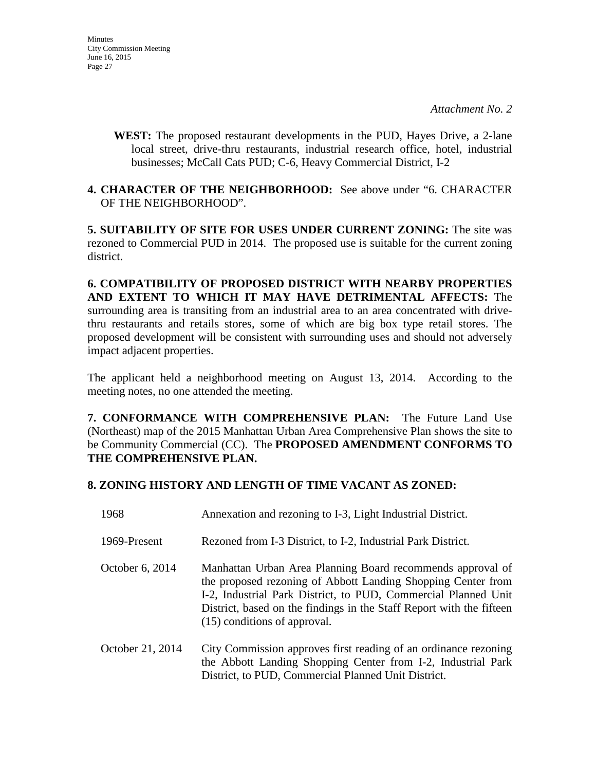**WEST:** The proposed restaurant developments in the PUD, Hayes Drive, a 2-lane local street, drive-thru restaurants, industrial research office, hotel, industrial businesses; McCall Cats PUD; C-6, Heavy Commercial District, I-2

#### **4. CHARACTER OF THE NEIGHBORHOOD:** See above under "6. CHARACTER OF THE NEIGHBORHOOD".

**5. SUITABILITY OF SITE FOR USES UNDER CURRENT ZONING:** The site was rezoned to Commercial PUD in 2014. The proposed use is suitable for the current zoning district.

**6. COMPATIBILITY OF PROPOSED DISTRICT WITH NEARBY PROPERTIES AND EXTENT TO WHICH IT MAY HAVE DETRIMENTAL AFFECTS:** The surrounding area is transiting from an industrial area to an area concentrated with drivethru restaurants and retails stores, some of which are big box type retail stores. The proposed development will be consistent with surrounding uses and should not adversely impact adjacent properties.

The applicant held a neighborhood meeting on August 13, 2014. According to the meeting notes, no one attended the meeting.

**7. CONFORMANCE WITH COMPREHENSIVE PLAN:** The Future Land Use (Northeast) map of the 2015 Manhattan Urban Area Comprehensive Plan shows the site to be Community Commercial (CC). The **PROPOSED AMENDMENT CONFORMS TO THE COMPREHENSIVE PLAN.**

#### **8. ZONING HISTORY AND LENGTH OF TIME VACANT AS ZONED:**

| 1968             | Annexation and rezoning to I-3, Light Industrial District.                                                                                                                                                                                                                                           |
|------------------|------------------------------------------------------------------------------------------------------------------------------------------------------------------------------------------------------------------------------------------------------------------------------------------------------|
| 1969-Present     | Rezoned from I-3 District, to I-2, Industrial Park District.                                                                                                                                                                                                                                         |
| October 6, 2014  | Manhattan Urban Area Planning Board recommends approval of<br>the proposed rezoning of Abbott Landing Shopping Center from<br>I-2, Industrial Park District, to PUD, Commercial Planned Unit<br>District, based on the findings in the Staff Report with the fifteen<br>(15) conditions of approval. |
| October 21, 2014 | City Commission approves first reading of an ordinance rezoning<br>the Abbott Landing Shopping Center from I-2, Industrial Park<br>District, to PUD, Commercial Planned Unit District.                                                                                                               |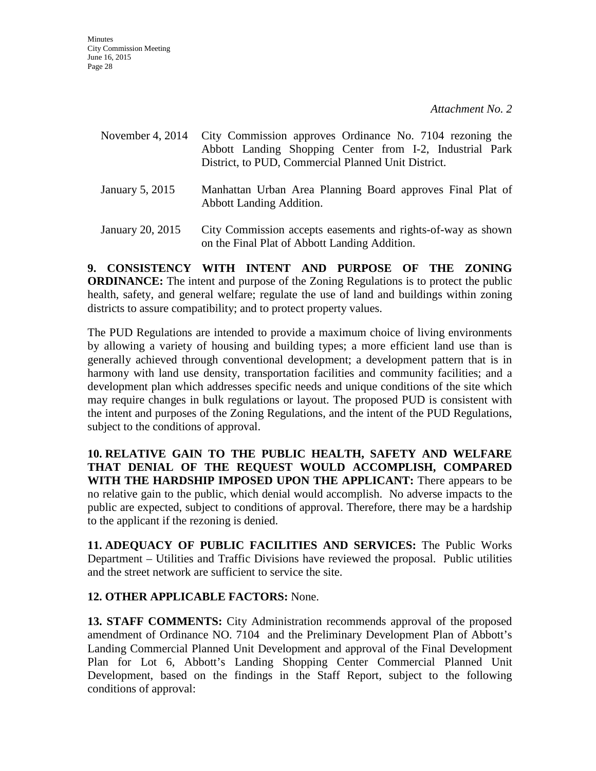| November 4, $2014$     | City Commission approves Ordinance No. 7104 rezoning the<br>Abbott Landing Shopping Center from I-2, Industrial Park<br>District, to PUD, Commercial Planned Unit District. |
|------------------------|-----------------------------------------------------------------------------------------------------------------------------------------------------------------------------|
| January 5, 2015        | Manhattan Urban Area Planning Board approves Final Plat of<br><b>Abbott Landing Addition.</b>                                                                               |
| <b>Lanuary 20-2015</b> | City Commission accents easements and rights-of-way as shown                                                                                                                |

January 20, 2015 City Commission accepts easements and rights-of-way as shown on the Final Plat of Abbott Landing Addition.

**9. CONSISTENCY WITH INTENT AND PURPOSE OF THE ZONING ORDINANCE:** The intent and purpose of the Zoning Regulations is to protect the public health, safety, and general welfare; regulate the use of land and buildings within zoning districts to assure compatibility; and to protect property values.

The PUD Regulations are intended to provide a maximum choice of living environments by allowing a variety of housing and building types; a more efficient land use than is generally achieved through conventional development; a development pattern that is in harmony with land use density, transportation facilities and community facilities; and a development plan which addresses specific needs and unique conditions of the site which may require changes in bulk regulations or layout. The proposed PUD is consistent with the intent and purposes of the Zoning Regulations, and the intent of the PUD Regulations, subject to the conditions of approval.

**10. RELATIVE GAIN TO THE PUBLIC HEALTH, SAFETY AND WELFARE THAT DENIAL OF THE REQUEST WOULD ACCOMPLISH, COMPARED WITH THE HARDSHIP IMPOSED UPON THE APPLICANT:** There appears to be no relative gain to the public, which denial would accomplish. No adverse impacts to the public are expected, subject to conditions of approval. Therefore, there may be a hardship to the applicant if the rezoning is denied.

**11. ADEQUACY OF PUBLIC FACILITIES AND SERVICES:** The Public Works Department – Utilities and Traffic Divisions have reviewed the proposal. Public utilities and the street network are sufficient to service the site.

### **12. OTHER APPLICABLE FACTORS:** None.

**13. STAFF COMMENTS:** City Administration recommends approval of the proposed amendment of Ordinance NO. 7104 and the Preliminary Development Plan of Abbott's Landing Commercial Planned Unit Development and approval of the Final Development Plan for Lot 6, Abbott's Landing Shopping Center Commercial Planned Unit Development, based on the findings in the Staff Report, subject to the following conditions of approval: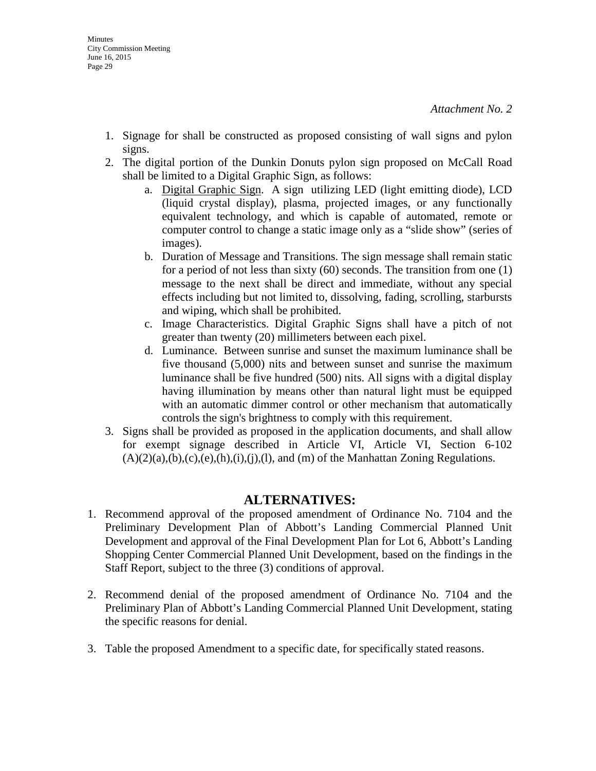- 1. Signage for shall be constructed as proposed consisting of wall signs and pylon signs.
- 2. The digital portion of the Dunkin Donuts pylon sign proposed on McCall Road shall be limited to a Digital Graphic Sign, as follows:
	- a. Digital Graphic Sign. A sign utilizing LED (light emitting diode), LCD (liquid crystal display), plasma, projected images, or any functionally equivalent technology, and which is capable of automated, remote or computer control to change a static image only as a "slide show" (series of images).
	- b. Duration of Message and Transitions. The sign message shall remain static for a period of not less than sixty (60) seconds. The transition from one (1) message to the next shall be direct and immediate, without any special effects including but not limited to, dissolving, fading, scrolling, starbursts and wiping, which shall be prohibited.
	- c. Image Characteristics. Digital Graphic Signs shall have a pitch of not greater than twenty (20) millimeters between each pixel.
	- d. Luminance. Between sunrise and sunset the maximum luminance shall be five thousand (5,000) nits and between sunset and sunrise the maximum luminance shall be five hundred (500) nits. All signs with a digital display having illumination by means other than natural light must be equipped with an automatic dimmer control or other mechanism that automatically controls the sign's brightness to comply with this requirement.
- 3. Signs shall be provided as proposed in the application documents, and shall allow for exempt signage described in Article VI, Article VI, Section 6-102  $(A)(2)(a),(b),(c),(e),(h),(i),(l),(l))$ , and  $(m)$  of the Manhattan Zoning Regulations.

# **ALTERNATIVES:**

- 1. Recommend approval of the proposed amendment of Ordinance No. 7104 and the Preliminary Development Plan of Abbott's Landing Commercial Planned Unit Development and approval of the Final Development Plan for Lot 6, Abbott's Landing Shopping Center Commercial Planned Unit Development, based on the findings in the Staff Report, subject to the three (3) conditions of approval.
- 2. Recommend denial of the proposed amendment of Ordinance No. 7104 and the Preliminary Plan of Abbott's Landing Commercial Planned Unit Development, stating the specific reasons for denial.
- 3. Table the proposed Amendment to a specific date, for specifically stated reasons.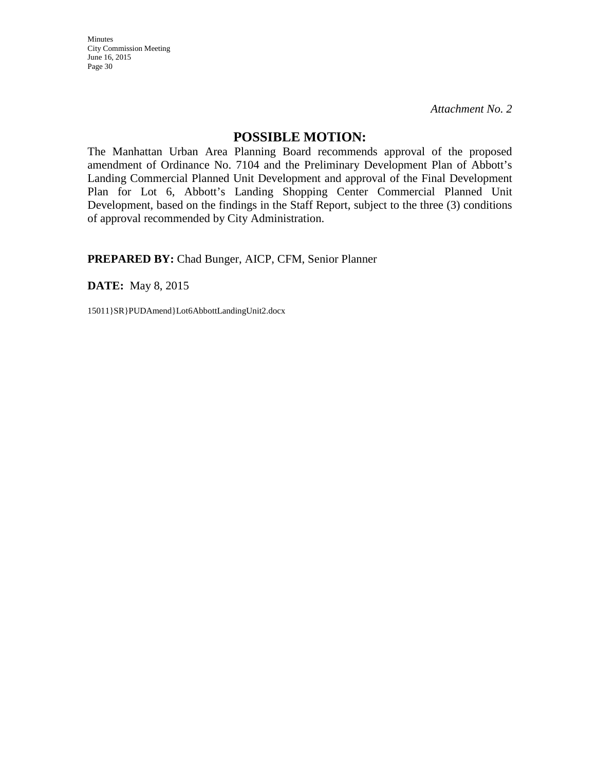*Attachment No. 2*

#### **POSSIBLE MOTION:**

The Manhattan Urban Area Planning Board recommends approval of the proposed amendment of Ordinance No. 7104 and the Preliminary Development Plan of Abbott's Landing Commercial Planned Unit Development and approval of the Final Development Plan for Lot 6, Abbott's Landing Shopping Center Commercial Planned Unit Development, based on the findings in the Staff Report, subject to the three (3) conditions of approval recommended by City Administration.

**PREPARED BY:** Chad Bunger, AICP, CFM, Senior Planner

**DATE:** May 8, 2015

15011}SR}PUDAmend}Lot6AbbottLandingUnit2.docx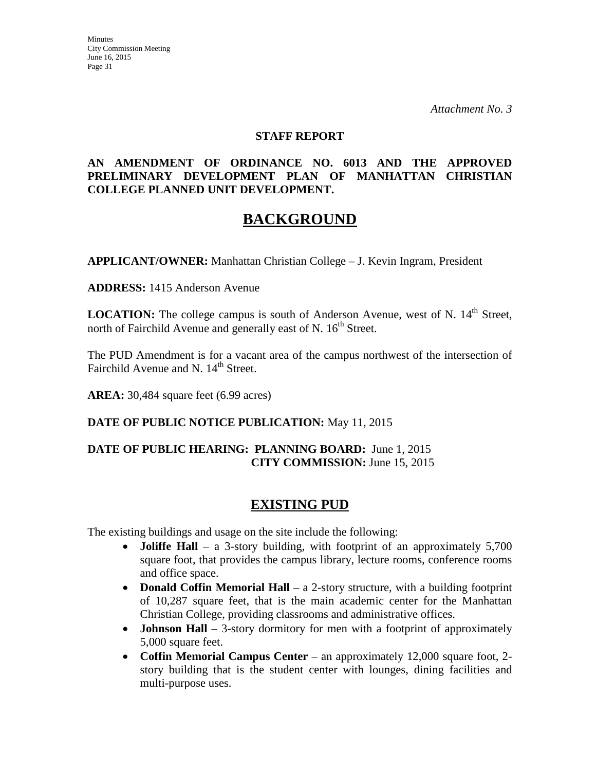*Attachment No. 3*

#### **STAFF REPORT**

#### **AN AMENDMENT OF ORDINANCE NO. 6013 AND THE APPROVED PRELIMINARY DEVELOPMENT PLAN OF MANHATTAN CHRISTIAN COLLEGE PLANNED UNIT DEVELOPMENT.**

# **BACKGROUND**

**APPLICANT/OWNER:** Manhattan Christian College – J. Kevin Ingram, President

**ADDRESS:** 1415 Anderson Avenue

**LOCATION:** The college campus is south of Anderson Avenue, west of N. 14<sup>th</sup> Street, north of Fairchild Avenue and generally east of N.  $16<sup>th</sup>$  Street.

The PUD Amendment is for a vacant area of the campus northwest of the intersection of Fairchild Avenue and N. 14<sup>th</sup> Street.

**AREA:** 30,484 square feet (6.99 acres)

#### **DATE OF PUBLIC NOTICE PUBLICATION:** May 11, 2015

### **DATE OF PUBLIC HEARING: PLANNING BOARD:** June 1, 2015 **CITY COMMISSION:** June 15, 2015

# **EXISTING PUD**

The existing buildings and usage on the site include the following:

- **Joliffe Hall** a 3-story building, with footprint of an approximately 5,700 square foot, that provides the campus library, lecture rooms, conference rooms and office space.
- **Donald Coffin Memorial Hall** a 2-story structure, with a building footprint of 10,287 square feet, that is the main academic center for the Manhattan Christian College, providing classrooms and administrative offices.
- **Johnson Hall** 3-story dormitory for men with a footprint of approximately 5,000 square feet.
- **Coffin Memorial Campus Center** an approximately 12,000 square foot, 2 story building that is the student center with lounges, dining facilities and multi-purpose uses.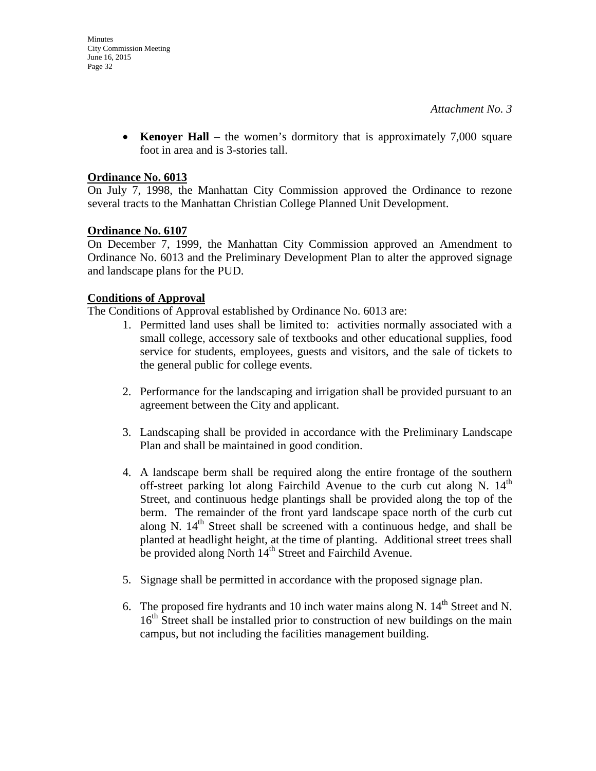• **Kenoyer Hall** – the women's dormitory that is approximately 7,000 square foot in area and is 3-stories tall.

#### **Ordinance No. 6013**

On July 7, 1998, the Manhattan City Commission approved the Ordinance to rezone several tracts to the Manhattan Christian College Planned Unit Development.

#### **Ordinance No. 6107**

On December 7, 1999, the Manhattan City Commission approved an Amendment to Ordinance No. 6013 and the Preliminary Development Plan to alter the approved signage and landscape plans for the PUD.

#### **Conditions of Approval**

The Conditions of Approval established by Ordinance No. 6013 are:

- 1. Permitted land uses shall be limited to: activities normally associated with a small college, accessory sale of textbooks and other educational supplies, food service for students, employees, guests and visitors, and the sale of tickets to the general public for college events.
- 2. Performance for the landscaping and irrigation shall be provided pursuant to an agreement between the City and applicant.
- 3. Landscaping shall be provided in accordance with the Preliminary Landscape Plan and shall be maintained in good condition.
- 4. A landscape berm shall be required along the entire frontage of the southern off-street parking lot along Fairchild Avenue to the curb cut along N.  $14<sup>th</sup>$ Street, and continuous hedge plantings shall be provided along the top of the berm. The remainder of the front yard landscape space north of the curb cut along N.  $14<sup>th</sup>$  Street shall be screened with a continuous hedge, and shall be planted at headlight height, at the time of planting. Additional street trees shall be provided along North 14<sup>th</sup> Street and Fairchild Avenue.
- 5. Signage shall be permitted in accordance with the proposed signage plan.
- 6. The proposed fire hydrants and 10 inch water mains along N.  $14<sup>th</sup>$  Street and N. 16<sup>th</sup> Street shall be installed prior to construction of new buildings on the main campus, but not including the facilities management building.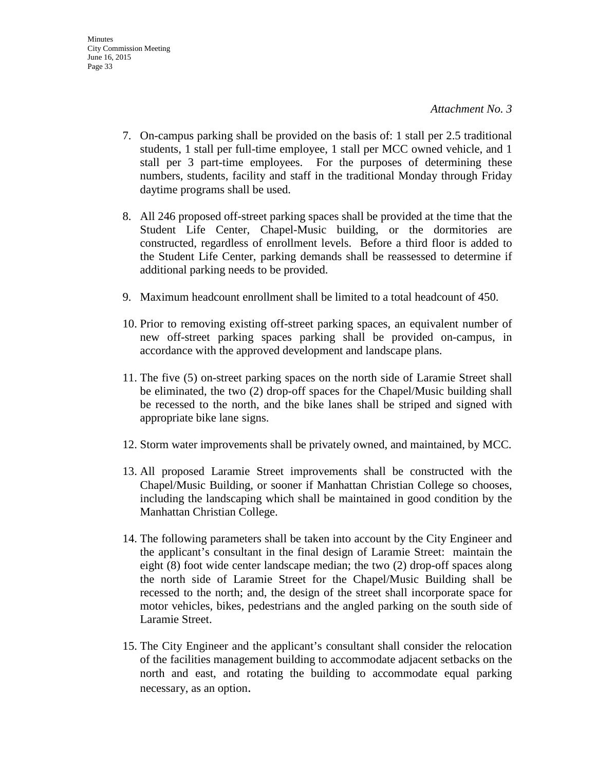- 7. On-campus parking shall be provided on the basis of: 1 stall per 2.5 traditional students, 1 stall per full-time employee, 1 stall per MCC owned vehicle, and 1 stall per 3 part-time employees. For the purposes of determining these numbers, students, facility and staff in the traditional Monday through Friday daytime programs shall be used.
- 8. All 246 proposed off-street parking spaces shall be provided at the time that the Student Life Center, Chapel-Music building, or the dormitories are constructed, regardless of enrollment levels. Before a third floor is added to the Student Life Center, parking demands shall be reassessed to determine if additional parking needs to be provided.
- 9. Maximum headcount enrollment shall be limited to a total headcount of 450.
- 10. Prior to removing existing off-street parking spaces, an equivalent number of new off-street parking spaces parking shall be provided on-campus, in accordance with the approved development and landscape plans.
- 11. The five (5) on-street parking spaces on the north side of Laramie Street shall be eliminated, the two (2) drop-off spaces for the Chapel/Music building shall be recessed to the north, and the bike lanes shall be striped and signed with appropriate bike lane signs.
- 12. Storm water improvements shall be privately owned, and maintained, by MCC.
- 13. All proposed Laramie Street improvements shall be constructed with the Chapel/Music Building, or sooner if Manhattan Christian College so chooses, including the landscaping which shall be maintained in good condition by the Manhattan Christian College.
- 14. The following parameters shall be taken into account by the City Engineer and the applicant's consultant in the final design of Laramie Street: maintain the eight (8) foot wide center landscape median; the two (2) drop-off spaces along the north side of Laramie Street for the Chapel/Music Building shall be recessed to the north; and, the design of the street shall incorporate space for motor vehicles, bikes, pedestrians and the angled parking on the south side of Laramie Street.
- 15. The City Engineer and the applicant's consultant shall consider the relocation of the facilities management building to accommodate adjacent setbacks on the north and east, and rotating the building to accommodate equal parking necessary, as an option.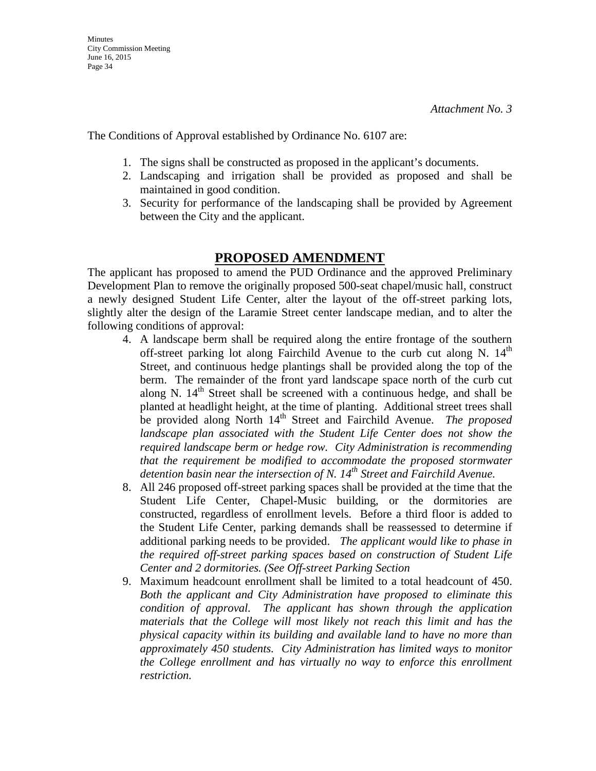The Conditions of Approval established by Ordinance No. 6107 are:

- 1. The signs shall be constructed as proposed in the applicant's documents.
- 2. Landscaping and irrigation shall be provided as proposed and shall be maintained in good condition.
- 3. Security for performance of the landscaping shall be provided by Agreement between the City and the applicant.

# **PROPOSED AMENDMENT**

The applicant has proposed to amend the PUD Ordinance and the approved Preliminary Development Plan to remove the originally proposed 500-seat chapel/music hall, construct a newly designed Student Life Center, alter the layout of the off-street parking lots, slightly alter the design of the Laramie Street center landscape median, and to alter the following conditions of approval:

- 4. A landscape berm shall be required along the entire frontage of the southern off-street parking lot along Fairchild Avenue to the curb cut along N.  $14<sup>th</sup>$ Street, and continuous hedge plantings shall be provided along the top of the berm. The remainder of the front yard landscape space north of the curb cut along N.  $14<sup>th</sup>$  Street shall be screened with a continuous hedge, and shall be planted at headlight height, at the time of planting. Additional street trees shall be provided along North 14<sup>th</sup> Street and Fairchild Avenue. *The proposed* landscape plan associated with the Student Life Center does not show the *required landscape berm or hedge row. City Administration is recommending that the requirement be modified to accommodate the proposed stormwater detention basin near the intersection of N. 14th Street and Fairchild Avenue.*
- 8. All 246 proposed off-street parking spaces shall be provided at the time that the Student Life Center, Chapel-Music building, or the dormitories are constructed, regardless of enrollment levels. Before a third floor is added to the Student Life Center, parking demands shall be reassessed to determine if additional parking needs to be provided. *The applicant would like to phase in the required off-street parking spaces based on construction of Student Life Center and 2 dormitories. (See Off-street Parking Section*
- 9. Maximum headcount enrollment shall be limited to a total headcount of 450. *Both the applicant and City Administration have proposed to eliminate this condition of approval. The applicant has shown through the application materials that the College will most likely not reach this limit and has the physical capacity within its building and available land to have no more than approximately 450 students. City Administration has limited ways to monitor the College enrollment and has virtually no way to enforce this enrollment restriction.*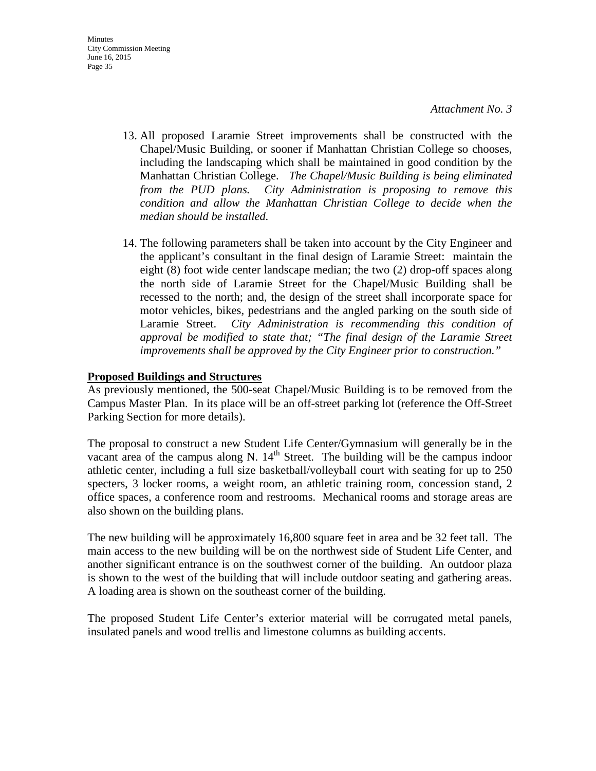- 13. All proposed Laramie Street improvements shall be constructed with the Chapel/Music Building, or sooner if Manhattan Christian College so chooses, including the landscaping which shall be maintained in good condition by the Manhattan Christian College. *The Chapel/Music Building is being eliminated from the PUD plans. City Administration is proposing to remove this condition and allow the Manhattan Christian College to decide when the median should be installed.*
- 14. The following parameters shall be taken into account by the City Engineer and the applicant's consultant in the final design of Laramie Street: maintain the eight (8) foot wide center landscape median; the two (2) drop-off spaces along the north side of Laramie Street for the Chapel/Music Building shall be recessed to the north; and, the design of the street shall incorporate space for motor vehicles, bikes, pedestrians and the angled parking on the south side of Laramie Street. *City Administration is recommending this condition of approval be modified to state that; "The final design of the Laramie Street improvements shall be approved by the City Engineer prior to construction."*

#### **Proposed Buildings and Structures**

As previously mentioned, the 500-seat Chapel/Music Building is to be removed from the Campus Master Plan. In its place will be an off-street parking lot (reference the Off-Street Parking Section for more details).

The proposal to construct a new Student Life Center/Gymnasium will generally be in the vacant area of the campus along N.  $14<sup>th</sup>$  Street. The building will be the campus indoor athletic center, including a full size basketball/volleyball court with seating for up to 250 specters, 3 locker rooms, a weight room, an athletic training room, concession stand, 2 office spaces, a conference room and restrooms. Mechanical rooms and storage areas are also shown on the building plans.

The new building will be approximately 16,800 square feet in area and be 32 feet tall. The main access to the new building will be on the northwest side of Student Life Center, and another significant entrance is on the southwest corner of the building. An outdoor plaza is shown to the west of the building that will include outdoor seating and gathering areas. A loading area is shown on the southeast corner of the building.

The proposed Student Life Center's exterior material will be corrugated metal panels, insulated panels and wood trellis and limestone columns as building accents.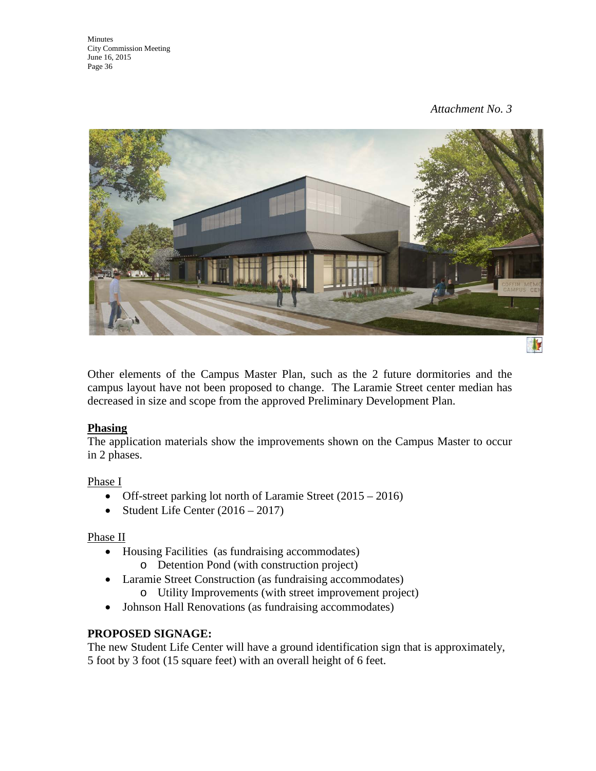

Other elements of the Campus Master Plan, such as the 2 future dormitories and the campus layout have not been proposed to change. The Laramie Street center median has decreased in size and scope from the approved Preliminary Development Plan.

### **Phasing**

The application materials show the improvements shown on the Campus Master to occur in 2 phases.

### Phase I

- Off-street parking lot north of Laramie Street (2015 2016)
- Student Life Center  $(2016 2017)$

### Phase II

- Housing Facilities (as fundraising accommodates)
	- o Detention Pond (with construction project)
- Laramie Street Construction (as fundraising accommodates)
	- o Utility Improvements (with street improvement project)
- Johnson Hall Renovations (as fundraising accommodates)

# **PROPOSED SIGNAGE:**

The new Student Life Center will have a ground identification sign that is approximately, 5 foot by 3 foot (15 square feet) with an overall height of 6 feet.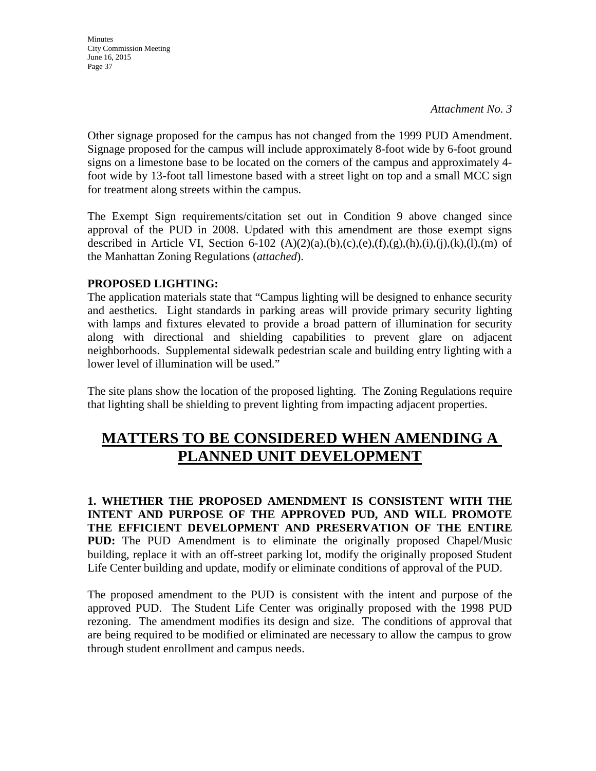**Minutes** City Commission Meeting June 16, 2015 Page 37

Other signage proposed for the campus has not changed from the 1999 PUD Amendment. Signage proposed for the campus will include approximately 8-foot wide by 6-foot ground signs on a limestone base to be located on the corners of the campus and approximately 4 foot wide by 13-foot tall limestone based with a street light on top and a small MCC sign for treatment along streets within the campus.

The Exempt Sign requirements/citation set out in Condition 9 above changed since approval of the PUD in 2008. Updated with this amendment are those exempt signs described in Article VI, Section 6-102  $(A)(2)(a),(b),(c),(e),(f),(g),(h),(i),(i),(k),(l),(m)$  of the Manhattan Zoning Regulations (*attached*).

### **PROPOSED LIGHTING:**

The application materials state that "Campus lighting will be designed to enhance security and aesthetics. Light standards in parking areas will provide primary security lighting with lamps and fixtures elevated to provide a broad pattern of illumination for security along with directional and shielding capabilities to prevent glare on adjacent neighborhoods. Supplemental sidewalk pedestrian scale and building entry lighting with a lower level of illumination will be used."

The site plans show the location of the proposed lighting. The Zoning Regulations require that lighting shall be shielding to prevent lighting from impacting adjacent properties.

# **MATTERS TO BE CONSIDERED WHEN AMENDING A PLANNED UNIT DEVELOPMENT**

**1. WHETHER THE PROPOSED AMENDMENT IS CONSISTENT WITH THE INTENT AND PURPOSE OF THE APPROVED PUD, AND WILL PROMOTE THE EFFICIENT DEVELOPMENT AND PRESERVATION OF THE ENTIRE PUD:** The PUD Amendment is to eliminate the originally proposed Chapel/Music building, replace it with an off-street parking lot, modify the originally proposed Student Life Center building and update, modify or eliminate conditions of approval of the PUD.

The proposed amendment to the PUD is consistent with the intent and purpose of the approved PUD. The Student Life Center was originally proposed with the 1998 PUD rezoning. The amendment modifies its design and size. The conditions of approval that are being required to be modified or eliminated are necessary to allow the campus to grow through student enrollment and campus needs.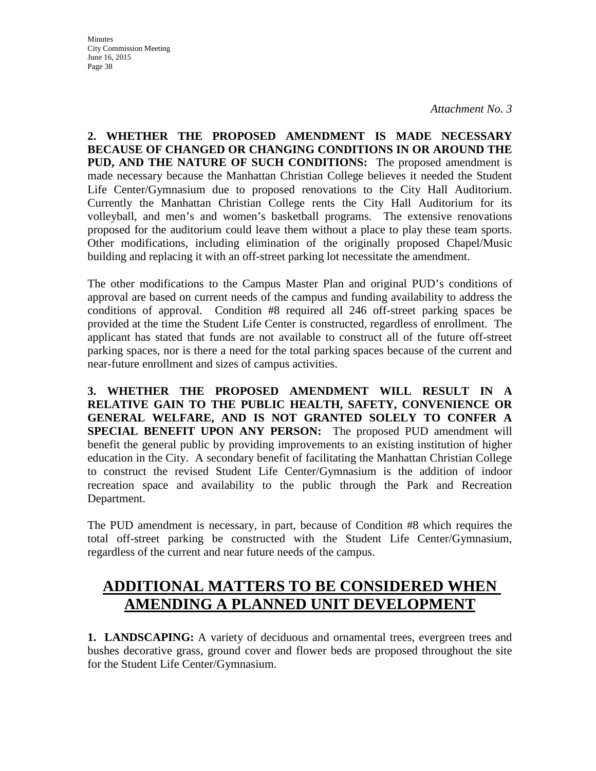*Attachment No. 3*

**2. WHETHER THE PROPOSED AMENDMENT IS MADE NECESSARY BECAUSE OF CHANGED OR CHANGING CONDITIONS IN OR AROUND THE PUD, AND THE NATURE OF SUCH CONDITIONS:** The proposed amendment is made necessary because the Manhattan Christian College believes it needed the Student Life Center/Gymnasium due to proposed renovations to the City Hall Auditorium. Currently the Manhattan Christian College rents the City Hall Auditorium for its volleyball, and men's and women's basketball programs. The extensive renovations proposed for the auditorium could leave them without a place to play these team sports. Other modifications, including elimination of the originally proposed Chapel/Music building and replacing it with an off-street parking lot necessitate the amendment.

The other modifications to the Campus Master Plan and original PUD's conditions of approval are based on current needs of the campus and funding availability to address the conditions of approval. Condition #8 required all 246 off-street parking spaces be provided at the time the Student Life Center is constructed, regardless of enrollment. The applicant has stated that funds are not available to construct all of the future off-street parking spaces, nor is there a need for the total parking spaces because of the current and near-future enrollment and sizes of campus activities.

**3. WHETHER THE PROPOSED AMENDMENT WILL RESULT IN A RELATIVE GAIN TO THE PUBLIC HEALTH, SAFETY, CONVENIENCE OR GENERAL WELFARE, AND IS NOT GRANTED SOLELY TO CONFER A SPECIAL BENEFIT UPON ANY PERSON:** The proposed PUD amendment will benefit the general public by providing improvements to an existing institution of higher education in the City. A secondary benefit of facilitating the Manhattan Christian College to construct the revised Student Life Center/Gymnasium is the addition of indoor recreation space and availability to the public through the Park and Recreation Department.

The PUD amendment is necessary, in part, because of Condition #8 which requires the total off-street parking be constructed with the Student Life Center/Gymnasium, regardless of the current and near future needs of the campus.

# **ADDITIONAL MATTERS TO BE CONSIDERED WHEN AMENDING A PLANNED UNIT DEVELOPMENT**

**1. LANDSCAPING:** A variety of deciduous and ornamental trees, evergreen trees and bushes decorative grass, ground cover and flower beds are proposed throughout the site for the Student Life Center/Gymnasium.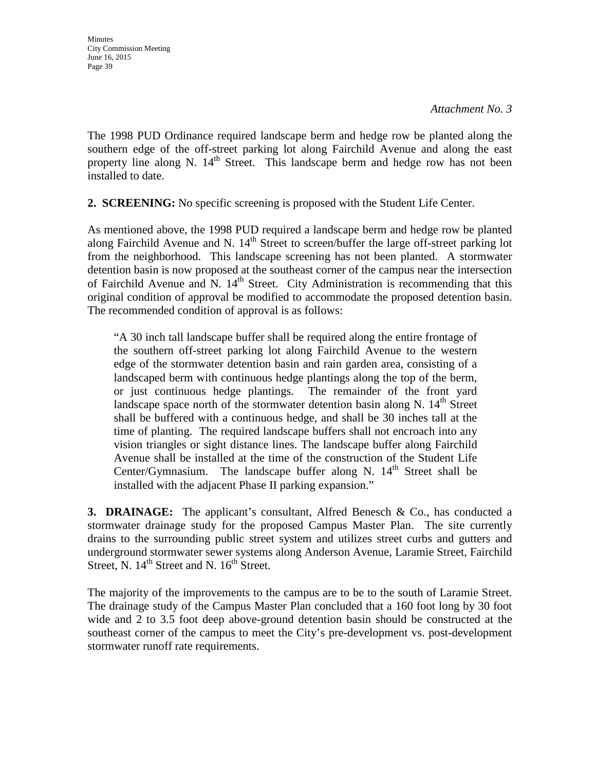*Attachment No. 3*

The 1998 PUD Ordinance required landscape berm and hedge row be planted along the southern edge of the off-street parking lot along Fairchild Avenue and along the east property line along N.  $14<sup>th</sup>$  Street. This landscape berm and hedge row has not been installed to date.

**2. SCREENING:** No specific screening is proposed with the Student Life Center.

As mentioned above, the 1998 PUD required a landscape berm and hedge row be planted along Fairchild Avenue and N.  $14<sup>th</sup>$  Street to screen/buffer the large off-street parking lot from the neighborhood. This landscape screening has not been planted. A stormwater detention basin is now proposed at the southeast corner of the campus near the intersection of Fairchild Avenue and N.  $14<sup>th</sup>$  Street. City Administration is recommending that this original condition of approval be modified to accommodate the proposed detention basin. The recommended condition of approval is as follows:

"A 30 inch tall landscape buffer shall be required along the entire frontage of the southern off-street parking lot along Fairchild Avenue to the western edge of the stormwater detention basin and rain garden area, consisting of a landscaped berm with continuous hedge plantings along the top of the berm, or just continuous hedge plantings. The remainder of the front yard landscape space north of the stormwater detention basin along N.  $14<sup>th</sup>$  Street shall be buffered with a continuous hedge, and shall be 30 inches tall at the time of planting. The required landscape buffers shall not encroach into any vision triangles or sight distance lines. The landscape buffer along Fairchild Avenue shall be installed at the time of the construction of the Student Life Center/Gymnasium. The landscape buffer along N. 14<sup>th</sup> Street shall be installed with the adjacent Phase II parking expansion."

**3. DRAINAGE:** The applicant's consultant, Alfred Benesch & Co., has conducted a stormwater drainage study for the proposed Campus Master Plan. The site currently drains to the surrounding public street system and utilizes street curbs and gutters and underground stormwater sewer systems along Anderson Avenue, Laramie Street, Fairchild Street, N.  $14<sup>th</sup>$  Street and N.  $16<sup>th</sup>$  Street.

The majority of the improvements to the campus are to be to the south of Laramie Street. The drainage study of the Campus Master Plan concluded that a 160 foot long by 30 foot wide and 2 to 3.5 foot deep above-ground detention basin should be constructed at the southeast corner of the campus to meet the City's pre-development vs. post-development stormwater runoff rate requirements.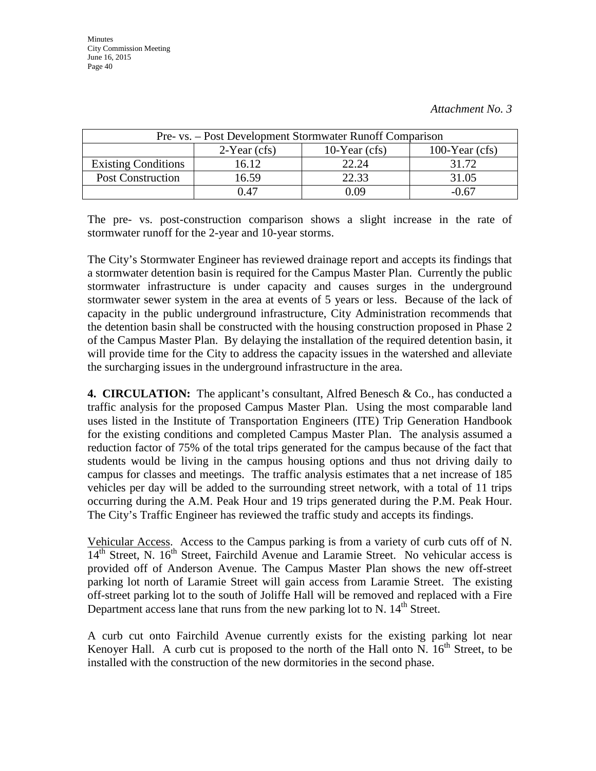| Pre- vs. – Post Development Stormwater Runoff Comparison |                 |                 |                  |
|----------------------------------------------------------|-----------------|-----------------|------------------|
|                                                          | $2$ -Year (cfs) | 10-Year $(cfs)$ | 100-Year $(cfs)$ |
| <b>Existing Conditions</b>                               | 16.12           | 22.24           | 31.72            |
| <b>Post Construction</b>                                 | 16.59           | 22.33           | 31.05            |
|                                                          | በ 47            | ገ በዓ            | $-0.67$          |

The pre- vs. post-construction comparison shows a slight increase in the rate of stormwater runoff for the 2-year and 10-year storms.

The City's Stormwater Engineer has reviewed drainage report and accepts its findings that a stormwater detention basin is required for the Campus Master Plan. Currently the public stormwater infrastructure is under capacity and causes surges in the underground stormwater sewer system in the area at events of 5 years or less. Because of the lack of capacity in the public underground infrastructure, City Administration recommends that the detention basin shall be constructed with the housing construction proposed in Phase 2 of the Campus Master Plan. By delaying the installation of the required detention basin, it will provide time for the City to address the capacity issues in the watershed and alleviate the surcharging issues in the underground infrastructure in the area.

**4. CIRCULATION:** The applicant's consultant, Alfred Benesch & Co., has conducted a traffic analysis for the proposed Campus Master Plan. Using the most comparable land uses listed in the Institute of Transportation Engineers (ITE) Trip Generation Handbook for the existing conditions and completed Campus Master Plan. The analysis assumed a reduction factor of 75% of the total trips generated for the campus because of the fact that students would be living in the campus housing options and thus not driving daily to campus for classes and meetings. The traffic analysis estimates that a net increase of 185 vehicles per day will be added to the surrounding street network, with a total of 11 trips occurring during the A.M. Peak Hour and 19 trips generated during the P.M. Peak Hour. The City's Traffic Engineer has reviewed the traffic study and accepts its findings.

Vehicular Access. Access to the Campus parking is from a variety of curb cuts off of N.  $14<sup>th</sup>$  Street, N. 16<sup>th</sup> Street, Fairchild Avenue and Laramie Street. No vehicular access is provided off of Anderson Avenue. The Campus Master Plan shows the new off-street parking lot north of Laramie Street will gain access from Laramie Street. The existing off-street parking lot to the south of Joliffe Hall will be removed and replaced with a Fire Department access lane that runs from the new parking lot to N.  $14<sup>th</sup>$  Street.

A curb cut onto Fairchild Avenue currently exists for the existing parking lot near Kenover Hall. A curb cut is proposed to the north of the Hall onto N.  $16<sup>th</sup>$  Street, to be installed with the construction of the new dormitories in the second phase.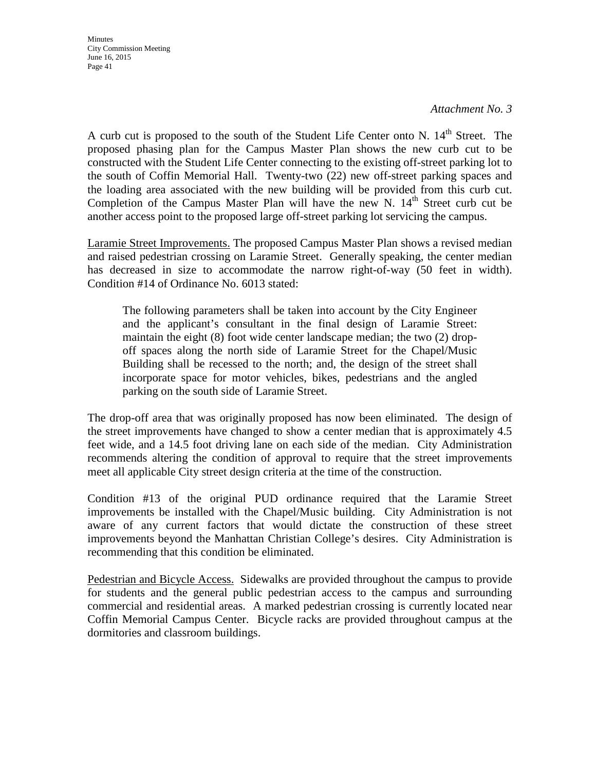*Attachment No. 3*

A curb cut is proposed to the south of the Student Life Center onto N. 14<sup>th</sup> Street. The proposed phasing plan for the Campus Master Plan shows the new curb cut to be constructed with the Student Life Center connecting to the existing off-street parking lot to the south of Coffin Memorial Hall. Twenty-two (22) new off-street parking spaces and the loading area associated with the new building will be provided from this curb cut. Completion of the Campus Master Plan will have the new N.  $14<sup>th</sup>$  Street curb cut be another access point to the proposed large off-street parking lot servicing the campus.

Laramie Street Improvements. The proposed Campus Master Plan shows a revised median and raised pedestrian crossing on Laramie Street. Generally speaking, the center median has decreased in size to accommodate the narrow right-of-way (50 feet in width). Condition #14 of Ordinance No. 6013 stated:

The following parameters shall be taken into account by the City Engineer and the applicant's consultant in the final design of Laramie Street: maintain the eight (8) foot wide center landscape median; the two (2) dropoff spaces along the north side of Laramie Street for the Chapel/Music Building shall be recessed to the north; and, the design of the street shall incorporate space for motor vehicles, bikes, pedestrians and the angled parking on the south side of Laramie Street.

The drop-off area that was originally proposed has now been eliminated. The design of the street improvements have changed to show a center median that is approximately 4.5 feet wide, and a 14.5 foot driving lane on each side of the median. City Administration recommends altering the condition of approval to require that the street improvements meet all applicable City street design criteria at the time of the construction.

Condition #13 of the original PUD ordinance required that the Laramie Street improvements be installed with the Chapel/Music building. City Administration is not aware of any current factors that would dictate the construction of these street improvements beyond the Manhattan Christian College's desires. City Administration is recommending that this condition be eliminated.

Pedestrian and Bicycle Access. Sidewalks are provided throughout the campus to provide for students and the general public pedestrian access to the campus and surrounding commercial and residential areas. A marked pedestrian crossing is currently located near Coffin Memorial Campus Center. Bicycle racks are provided throughout campus at the dormitories and classroom buildings.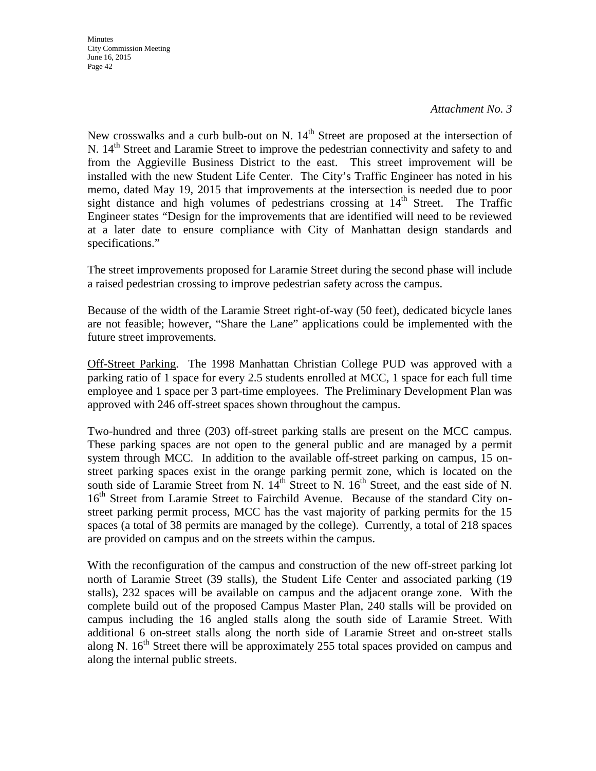#### *Attachment No. 3*

New crosswalks and a curb bulb-out on N.  $14<sup>th</sup>$  Street are proposed at the intersection of N. 14<sup>th</sup> Street and Laramie Street to improve the pedestrian connectivity and safety to and from the Aggieville Business District to the east. This street improvement will be installed with the new Student Life Center. The City's Traffic Engineer has noted in his memo, dated May 19, 2015 that improvements at the intersection is needed due to poor sight distance and high volumes of pedestrians crossing at  $14<sup>th</sup>$  Street. The Traffic Engineer states "Design for the improvements that are identified will need to be reviewed at a later date to ensure compliance with City of Manhattan design standards and specifications."

The street improvements proposed for Laramie Street during the second phase will include a raised pedestrian crossing to improve pedestrian safety across the campus.

Because of the width of the Laramie Street right-of-way (50 feet), dedicated bicycle lanes are not feasible; however, "Share the Lane" applications could be implemented with the future street improvements.

Off-Street Parking. The 1998 Manhattan Christian College PUD was approved with a parking ratio of 1 space for every 2.5 students enrolled at MCC, 1 space for each full time employee and 1 space per 3 part-time employees. The Preliminary Development Plan was approved with 246 off-street spaces shown throughout the campus.

Two-hundred and three (203) off-street parking stalls are present on the MCC campus. These parking spaces are not open to the general public and are managed by a permit system through MCC. In addition to the available off-street parking on campus, 15 onstreet parking spaces exist in the orange parking permit zone, which is located on the south side of Laramie Street from N.  $14^{th}$  Street to N.  $16^{th}$  Street, and the east side of N. 16<sup>th</sup> Street from Laramie Street to Fairchild Avenue. Because of the standard City onstreet parking permit process, MCC has the vast majority of parking permits for the 15 spaces (a total of 38 permits are managed by the college). Currently, a total of 218 spaces are provided on campus and on the streets within the campus.

With the reconfiguration of the campus and construction of the new off-street parking lot north of Laramie Street (39 stalls), the Student Life Center and associated parking (19 stalls), 232 spaces will be available on campus and the adjacent orange zone. With the complete build out of the proposed Campus Master Plan, 240 stalls will be provided on campus including the 16 angled stalls along the south side of Laramie Street. With additional 6 on-street stalls along the north side of Laramie Street and on-street stalls along N.  $16<sup>th</sup>$  Street there will be approximately 255 total spaces provided on campus and along the internal public streets.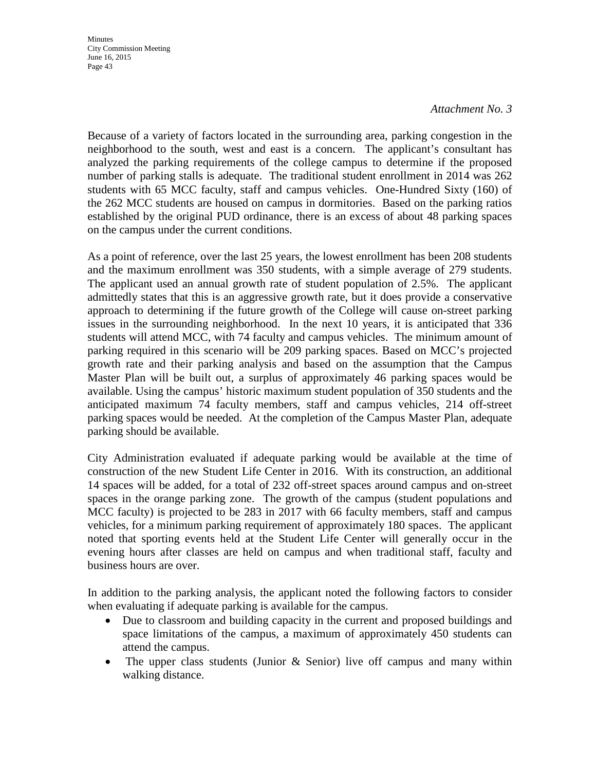#### *Attachment No. 3*

Because of a variety of factors located in the surrounding area, parking congestion in the neighborhood to the south, west and east is a concern. The applicant's consultant has analyzed the parking requirements of the college campus to determine if the proposed number of parking stalls is adequate. The traditional student enrollment in 2014 was 262 students with 65 MCC faculty, staff and campus vehicles. One-Hundred Sixty (160) of the 262 MCC students are housed on campus in dormitories. Based on the parking ratios established by the original PUD ordinance, there is an excess of about 48 parking spaces on the campus under the current conditions.

As a point of reference, over the last 25 years, the lowest enrollment has been 208 students and the maximum enrollment was 350 students, with a simple average of 279 students. The applicant used an annual growth rate of student population of 2.5%. The applicant admittedly states that this is an aggressive growth rate, but it does provide a conservative approach to determining if the future growth of the College will cause on-street parking issues in the surrounding neighborhood. In the next 10 years, it is anticipated that 336 students will attend MCC, with 74 faculty and campus vehicles. The minimum amount of parking required in this scenario will be 209 parking spaces. Based on MCC's projected growth rate and their parking analysis and based on the assumption that the Campus Master Plan will be built out, a surplus of approximately 46 parking spaces would be available. Using the campus' historic maximum student population of 350 students and the anticipated maximum 74 faculty members, staff and campus vehicles, 214 off-street parking spaces would be needed. At the completion of the Campus Master Plan, adequate parking should be available.

City Administration evaluated if adequate parking would be available at the time of construction of the new Student Life Center in 2016. With its construction, an additional 14 spaces will be added, for a total of 232 off-street spaces around campus and on-street spaces in the orange parking zone. The growth of the campus (student populations and MCC faculty) is projected to be 283 in 2017 with 66 faculty members, staff and campus vehicles, for a minimum parking requirement of approximately 180 spaces. The applicant noted that sporting events held at the Student Life Center will generally occur in the evening hours after classes are held on campus and when traditional staff, faculty and business hours are over.

In addition to the parking analysis, the applicant noted the following factors to consider when evaluating if adequate parking is available for the campus.

- Due to classroom and building capacity in the current and proposed buildings and space limitations of the campus, a maximum of approximately 450 students can attend the campus.
- The upper class students (Junior  $\&$  Senior) live off campus and many within walking distance.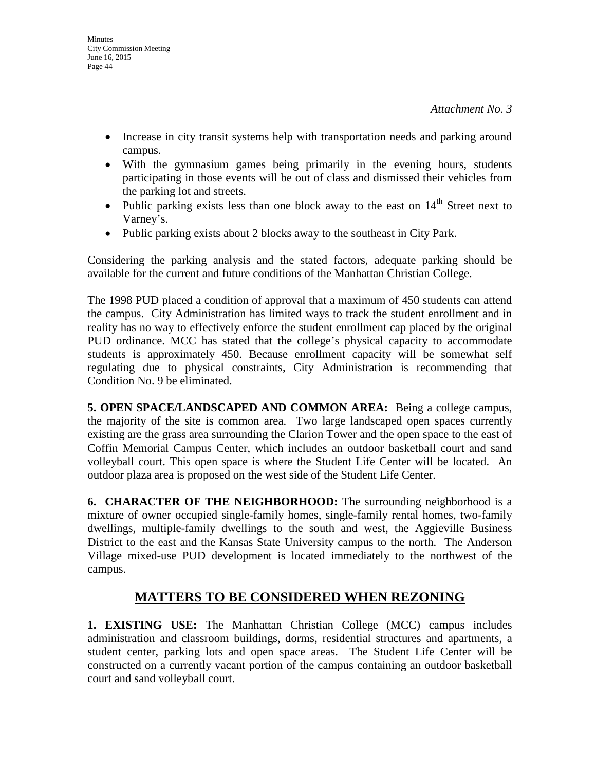- Increase in city transit systems help with transportation needs and parking around campus.
- With the gymnasium games being primarily in the evening hours, students participating in those events will be out of class and dismissed their vehicles from the parking lot and streets.
- Public parking exists less than one block away to the east on  $14<sup>th</sup>$  Street next to Varney's.
- Public parking exists about 2 blocks away to the southeast in City Park.

Considering the parking analysis and the stated factors, adequate parking should be available for the current and future conditions of the Manhattan Christian College.

The 1998 PUD placed a condition of approval that a maximum of 450 students can attend the campus. City Administration has limited ways to track the student enrollment and in reality has no way to effectively enforce the student enrollment cap placed by the original PUD ordinance. MCC has stated that the college's physical capacity to accommodate students is approximately 450. Because enrollment capacity will be somewhat self regulating due to physical constraints, City Administration is recommending that Condition No. 9 be eliminated.

**5. OPEN SPACE/LANDSCAPED AND COMMON AREA:** Being a college campus, the majority of the site is common area. Two large landscaped open spaces currently existing are the grass area surrounding the Clarion Tower and the open space to the east of Coffin Memorial Campus Center, which includes an outdoor basketball court and sand volleyball court. This open space is where the Student Life Center will be located. An outdoor plaza area is proposed on the west side of the Student Life Center.

**6. CHARACTER OF THE NEIGHBORHOOD:** The surrounding neighborhood is a mixture of owner occupied single-family homes, single-family rental homes, two-family dwellings, multiple-family dwellings to the south and west, the Aggieville Business District to the east and the Kansas State University campus to the north. The Anderson Village mixed-use PUD development is located immediately to the northwest of the campus.

# **MATTERS TO BE CONSIDERED WHEN REZONING**

**1. EXISTING USE:** The Manhattan Christian College (MCC) campus includes administration and classroom buildings, dorms, residential structures and apartments, a student center, parking lots and open space areas. The Student Life Center will be constructed on a currently vacant portion of the campus containing an outdoor basketball court and sand volleyball court.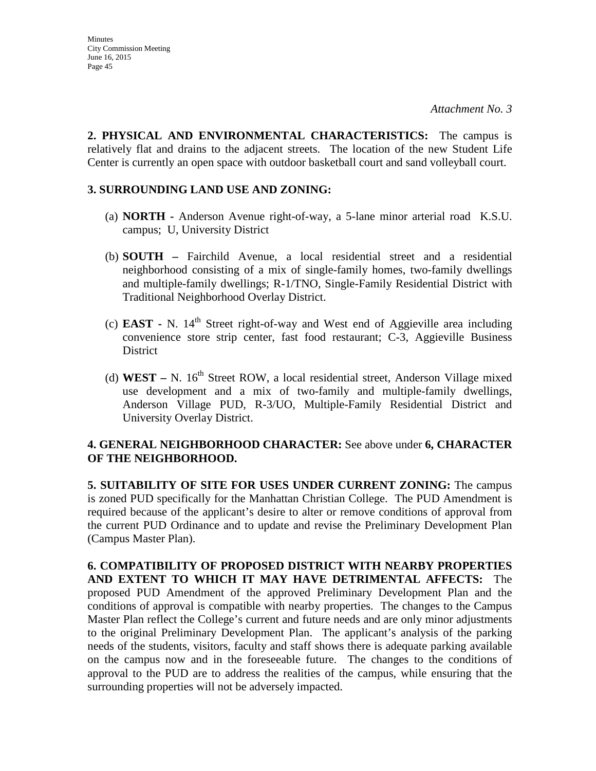**2. PHYSICAL AND ENVIRONMENTAL CHARACTERISTICS:** The campus is relatively flat and drains to the adjacent streets. The location of the new Student Life Center is currently an open space with outdoor basketball court and sand volleyball court.

#### **3. SURROUNDING LAND USE AND ZONING:**

- (a) **NORTH -** Anderson Avenue right-of-way, a 5-lane minor arterial road K.S.U. campus; U, University District
- (b) **SOUTH –** Fairchild Avenue, a local residential street and a residential neighborhood consisting of a mix of single-family homes, two-family dwellings and multiple-family dwellings; R-1/TNO, Single-Family Residential District with Traditional Neighborhood Overlay District.
- (c) **EAST -** N. 14th Street right-of-way and West end of Aggieville area including convenience store strip center, fast food restaurant; C-3, Aggieville Business District
- (d) **WEST** N. 16<sup>th</sup> Street ROW, a local residential street, Anderson Village mixed use development and a mix of two-family and multiple-family dwellings, Anderson Village PUD, R-3/UO, Multiple-Family Residential District and University Overlay District.

### **4. GENERAL NEIGHBORHOOD CHARACTER:** See above under **6, CHARACTER OF THE NEIGHBORHOOD.**

**5. SUITABILITY OF SITE FOR USES UNDER CURRENT ZONING:** The campus is zoned PUD specifically for the Manhattan Christian College. The PUD Amendment is required because of the applicant's desire to alter or remove conditions of approval from the current PUD Ordinance and to update and revise the Preliminary Development Plan (Campus Master Plan).

**6. COMPATIBILITY OF PROPOSED DISTRICT WITH NEARBY PROPERTIES AND EXTENT TO WHICH IT MAY HAVE DETRIMENTAL AFFECTS:** The proposed PUD Amendment of the approved Preliminary Development Plan and the conditions of approval is compatible with nearby properties. The changes to the Campus Master Plan reflect the College's current and future needs and are only minor adjustments to the original Preliminary Development Plan. The applicant's analysis of the parking needs of the students, visitors, faculty and staff shows there is adequate parking available on the campus now and in the foreseeable future. The changes to the conditions of approval to the PUD are to address the realities of the campus, while ensuring that the surrounding properties will not be adversely impacted.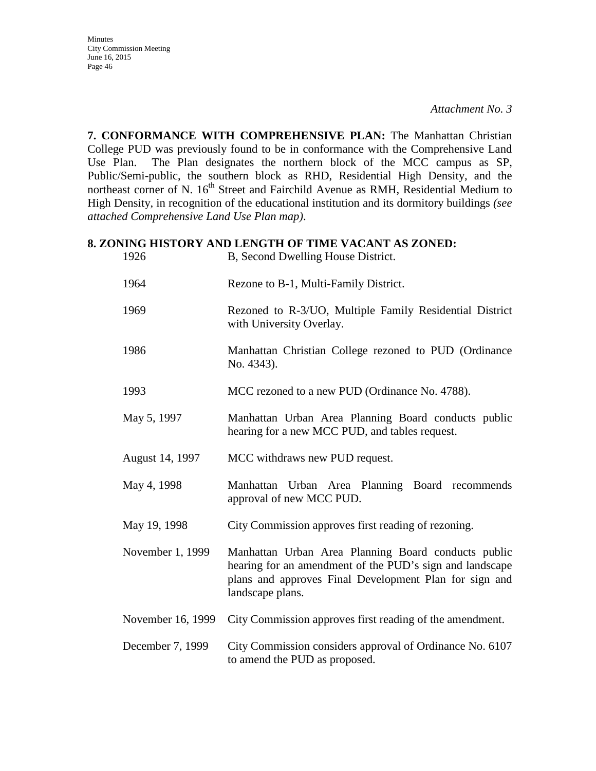**7. CONFORMANCE WITH COMPREHENSIVE PLAN:** The Manhattan Christian College PUD was previously found to be in conformance with the Comprehensive Land Use Plan. The Plan designates the northern block of the MCC campus as SP, Public/Semi-public, the southern block as RHD, Residential High Density, and the northeast corner of N. 16<sup>th</sup> Street and Fairchild Avenue as RMH, Residential Medium to High Density, in recognition of the educational institution and its dormitory buildings *(see attached Comprehensive Land Use Plan map)*.

#### **8. ZONING HISTORY AND LENGTH OF TIME VACANT AS ZONED:**

| 1926              | B, Second Dwelling House District.                                                                                                                                                            |
|-------------------|-----------------------------------------------------------------------------------------------------------------------------------------------------------------------------------------------|
| 1964              | Rezone to B-1, Multi-Family District.                                                                                                                                                         |
| 1969              | Rezoned to R-3/UO, Multiple Family Residential District<br>with University Overlay.                                                                                                           |
| 1986              | Manhattan Christian College rezoned to PUD (Ordinance<br>No. 4343).                                                                                                                           |
| 1993              | MCC rezoned to a new PUD (Ordinance No. 4788).                                                                                                                                                |
| May 5, 1997       | Manhattan Urban Area Planning Board conducts public<br>hearing for a new MCC PUD, and tables request.                                                                                         |
| August 14, 1997   | MCC withdraws new PUD request.                                                                                                                                                                |
| May 4, 1998       | Manhattan Urban Area Planning Board recommends<br>approval of new MCC PUD.                                                                                                                    |
| May 19, 1998      | City Commission approves first reading of rezoning.                                                                                                                                           |
| November 1, 1999  | Manhattan Urban Area Planning Board conducts public<br>hearing for an amendment of the PUD's sign and landscape<br>plans and approves Final Development Plan for sign and<br>landscape plans. |
| November 16, 1999 | City Commission approves first reading of the amendment.                                                                                                                                      |
| December 7, 1999  | City Commission considers approval of Ordinance No. 6107<br>to amend the PUD as proposed.                                                                                                     |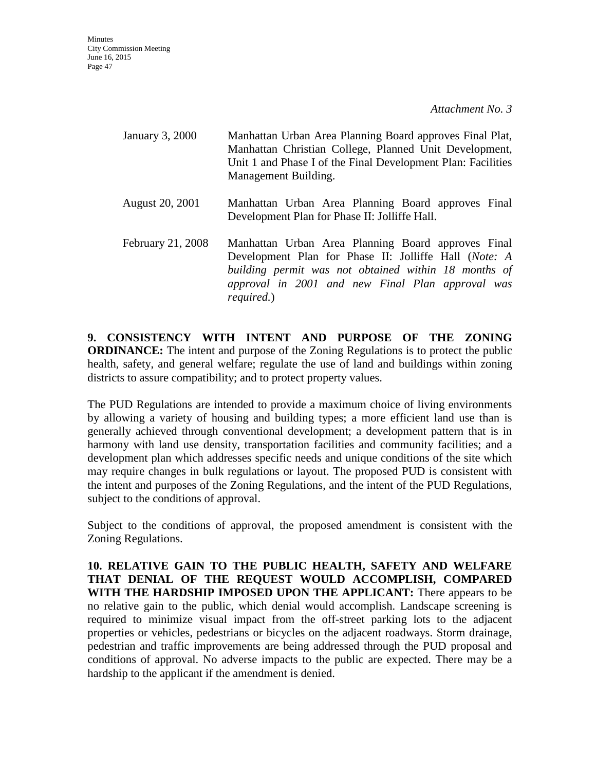| January 3, 2000   | Manhattan Urban Area Planning Board approves Final Plat,<br>Manhattan Christian College, Planned Unit Development,<br>Unit 1 and Phase I of the Final Development Plan: Facilities<br>Management Building.                                    |  |
|-------------------|-----------------------------------------------------------------------------------------------------------------------------------------------------------------------------------------------------------------------------------------------|--|
| August 20, 2001   | Manhattan Urban Area Planning Board approves Final<br>Development Plan for Phase II: Jolliffe Hall.                                                                                                                                           |  |
| February 21, 2008 | Manhattan Urban Area Planning Board approves Final<br>Development Plan for Phase II: Jolliffe Hall (Note: A<br>building permit was not obtained within 18 months of<br>approval in 2001 and new Final Plan approval was<br><i>required.</i> ) |  |

**9. CONSISTENCY WITH INTENT AND PURPOSE OF THE ZONING ORDINANCE:** The intent and purpose of the Zoning Regulations is to protect the public health, safety, and general welfare; regulate the use of land and buildings within zoning districts to assure compatibility; and to protect property values.

The PUD Regulations are intended to provide a maximum choice of living environments by allowing a variety of housing and building types; a more efficient land use than is generally achieved through conventional development; a development pattern that is in harmony with land use density, transportation facilities and community facilities; and a development plan which addresses specific needs and unique conditions of the site which may require changes in bulk regulations or layout. The proposed PUD is consistent with the intent and purposes of the Zoning Regulations, and the intent of the PUD Regulations, subject to the conditions of approval.

Subject to the conditions of approval, the proposed amendment is consistent with the Zoning Regulations.

**10. RELATIVE GAIN TO THE PUBLIC HEALTH, SAFETY AND WELFARE THAT DENIAL OF THE REQUEST WOULD ACCOMPLISH, COMPARED WITH THE HARDSHIP IMPOSED UPON THE APPLICANT:** There appears to be no relative gain to the public, which denial would accomplish. Landscape screening is required to minimize visual impact from the off-street parking lots to the adjacent properties or vehicles, pedestrians or bicycles on the adjacent roadways. Storm drainage, pedestrian and traffic improvements are being addressed through the PUD proposal and conditions of approval. No adverse impacts to the public are expected. There may be a hardship to the applicant if the amendment is denied.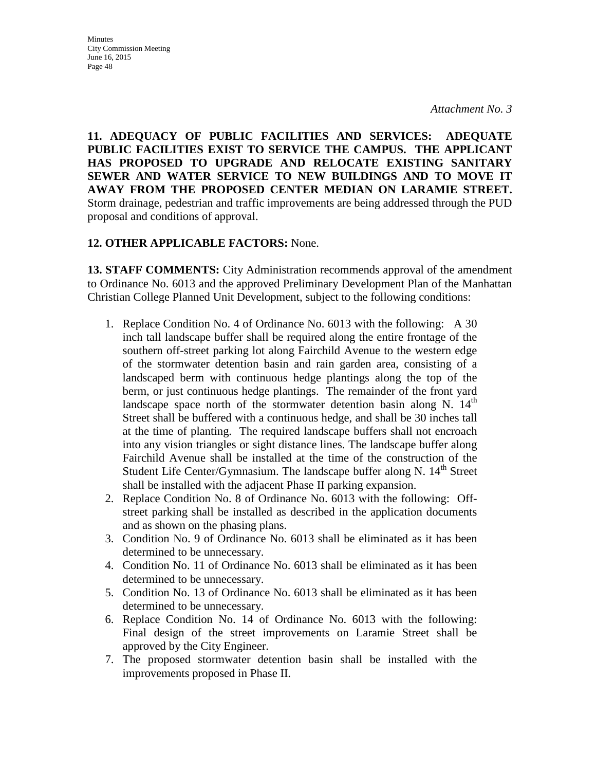**Minutes** City Commission Meeting June 16, 2015 Page 48

**11. ADEQUACY OF PUBLIC FACILITIES AND SERVICES: ADEQUATE PUBLIC FACILITIES EXIST TO SERVICE THE CAMPUS. THE APPLICANT HAS PROPOSED TO UPGRADE AND RELOCATE EXISTING SANITARY SEWER AND WATER SERVICE TO NEW BUILDINGS AND TO MOVE IT AWAY FROM THE PROPOSED CENTER MEDIAN ON LARAMIE STREET.** Storm drainage, pedestrian and traffic improvements are being addressed through the PUD proposal and conditions of approval.

#### **12. OTHER APPLICABLE FACTORS:** None.

**13. STAFF COMMENTS:** City Administration recommends approval of the amendment to Ordinance No. 6013 and the approved Preliminary Development Plan of the Manhattan Christian College Planned Unit Development, subject to the following conditions:

- 1. Replace Condition No. 4 of Ordinance No. 6013 with the following: A 30 inch tall landscape buffer shall be required along the entire frontage of the southern off-street parking lot along Fairchild Avenue to the western edge of the stormwater detention basin and rain garden area, consisting of a landscaped berm with continuous hedge plantings along the top of the berm, or just continuous hedge plantings. The remainder of the front yard landscape space north of the stormwater detention basin along N.  $14<sup>th</sup>$ Street shall be buffered with a continuous hedge, and shall be 30 inches tall at the time of planting. The required landscape buffers shall not encroach into any vision triangles or sight distance lines. The landscape buffer along Fairchild Avenue shall be installed at the time of the construction of the Student Life Center/Gymnasium. The landscape buffer along N. 14<sup>th</sup> Street shall be installed with the adjacent Phase II parking expansion.
- 2. Replace Condition No. 8 of Ordinance No. 6013 with the following: Offstreet parking shall be installed as described in the application documents and as shown on the phasing plans.
- 3. Condition No. 9 of Ordinance No. 6013 shall be eliminated as it has been determined to be unnecessary.
- 4. Condition No. 11 of Ordinance No. 6013 shall be eliminated as it has been determined to be unnecessary.
- 5. Condition No. 13 of Ordinance No. 6013 shall be eliminated as it has been determined to be unnecessary.
- 6. Replace Condition No. 14 of Ordinance No. 6013 with the following: Final design of the street improvements on Laramie Street shall be approved by the City Engineer.
- 7. The proposed stormwater detention basin shall be installed with the improvements proposed in Phase II.